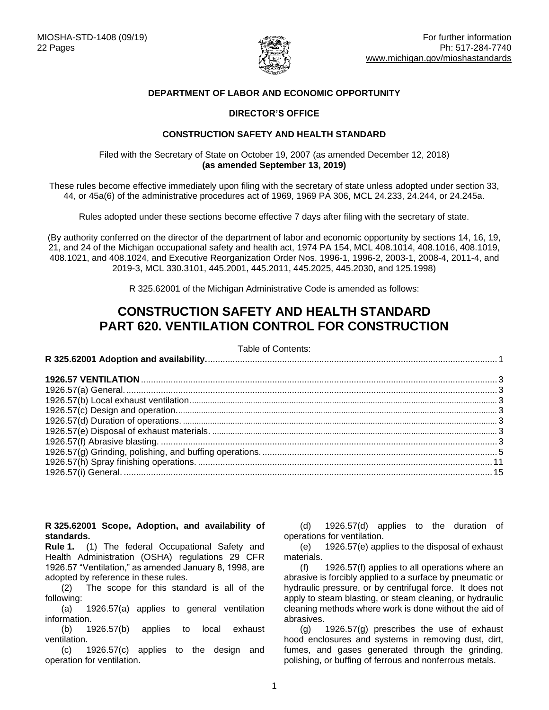

## **DEPARTMENT OF LABOR AND ECONOMIC OPPORTUNITY**

### **DIRECTOR'S OFFICE**

### **CONSTRUCTION SAFETY AND HEALTH STANDARD**

Filed with the Secretary of State on October 19, 2007 (as amended December 12, 2018) **(as amended September 13, 2019)**

These rules become effective immediately upon filing with the secretary of state unless adopted under section 33, 44, or 45a(6) of the administrative procedures act of 1969, 1969 PA 306, MCL 24.233, 24.244, or 24.245a.

Rules adopted under these sections become effective 7 days after filing with the secretary of state.

(By authority conferred on the director of the department of labor and economic opportunity by sections 14, 16, 19, 21, and 24 of the Michigan occupational safety and health act, 1974 PA 154, MCL 408.1014, 408.1016, 408.1019, 408.1021, and 408.1024, and Executive Reorganization Order Nos. 1996-1, 1996-2, 2003-1, 2008-4, 2011-4, and 2019-3, MCL 330.3101, 445.2001, 445.2011, 445.2025, 445.2030, and 125.1998)

R 325.62001 of the Michigan Administrative Code is amended as follows:

# **CONSTRUCTION SAFETY AND HEALTH STANDARD PART 620. VENTILATION CONTROL FOR CONSTRUCTION**

#### Table of Contents:

<span id="page-0-0"></span>**R 325.62001 Scope, Adoption, and availability of standards.**

**Rule 1.** (1) The federal Occupational Safety and Health Administration (OSHA) regulations 29 CFR 1926.57 "Ventilation," as amended January 8, 1998, are adopted by reference in these rules.

(2) The scope for this standard is all of the following:

(a) 1926.57(a) applies to general ventilation information.

(b) 1926.57(b) applies to local exhaust ventilation.

(c) 1926.57(c) applies to the design and operation for ventilation.

(d) 1926.57(d) applies to the duration of operations for ventilation.

(e) 1926.57(e) applies to the disposal of exhaust materials.

(f) 1926.57(f) applies to all operations where an abrasive is forcibly applied to a surface by pneumatic or hydraulic pressure, or by centrifugal force. It does not apply to steam blasting, or steam cleaning, or hydraulic cleaning methods where work is done without the aid of abrasives.

(g) 1926.57(g) prescribes the use of exhaust hood enclosures and systems in removing dust, dirt, fumes, and gases generated through the grinding, polishing, or buffing of ferrous and nonferrous metals.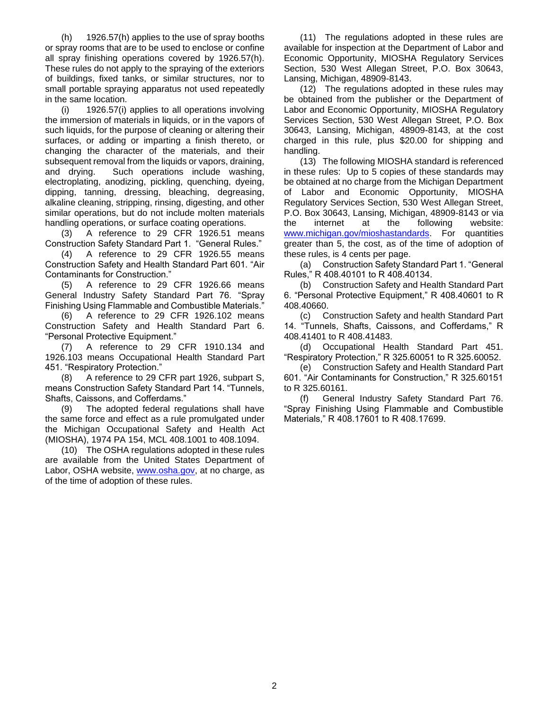(h) 1926.57(h) applies to the use of spray booths or spray rooms that are to be used to enclose or confine all spray finishing operations covered by 1926.57(h). These rules do not apply to the spraying of the exteriors of buildings, fixed tanks, or similar structures, nor to small portable spraying apparatus not used repeatedly in the same location.

(i) 1926.57(i) applies to all operations involving the immersion of materials in liquids, or in the vapors of such liquids, for the purpose of cleaning or altering their surfaces, or adding or imparting a finish thereto, or changing the character of the materials, and their subsequent removal from the liquids or vapors, draining, and drying. Such operations include washing, electroplating, anodizing, pickling, quenching, dyeing, dipping, tanning, dressing, bleaching, degreasing, alkaline cleaning, stripping, rinsing, digesting, and other similar operations, but do not include molten materials handling operations, or surface coating operations.

(3) A reference to 29 CFR 1926.51 means Construction Safety Standard Part 1. "General Rules."

(4) A reference to 29 CFR 1926.55 means Construction Safety and Health Standard Part 601. "Air Contaminants for Construction."

(5) A reference to 29 CFR 1926.66 means General Industry Safety Standard Part 76. "Spray Finishing Using Flammable and Combustible Materials."

(6) A reference to 29 CFR 1926.102 means Construction Safety and Health Standard Part 6. "Personal Protective Equipment."

(7) A reference to 29 CFR 1910.134 and 1926.103 means Occupational Health Standard Part 451. "Respiratory Protection."

(8) A reference to 29 CFR part 1926, subpart S, means Construction Safety Standard Part 14. "Tunnels, Shafts, Caissons, and Cofferdams."

(9) The adopted federal regulations shall have the same force and effect as a rule promulgated under the Michigan Occupational Safety and Health Act (MIOSHA), 1974 PA 154, MCL 408.1001 to 408.1094.

(10) The OSHA regulations adopted in these rules are available from the United States Department of Labor, OSHA website, [www.osha.gov,](http://www.osha.gov/) at no charge, as of the time of adoption of these rules.

(11) The regulations adopted in these rules are available for inspection at the Department of Labor and Economic Opportunity, MIOSHA Regulatory Services Section, 530 West Allegan Street, P.O. Box 30643, Lansing, Michigan, 48909-8143.

(12) The regulations adopted in these rules may be obtained from the publisher or the Department of Labor and Economic Opportunity, MIOSHA Regulatory Services Section, 530 West Allegan Street, P.O. Box 30643, Lansing, Michigan, 48909-8143, at the cost charged in this rule, plus \$20.00 for shipping and handling.

(13) The following MIOSHA standard is referenced in these rules: Up to 5 copies of these standards may be obtained at no charge from the Michigan Department of Labor and Economic Opportunity, MIOSHA Regulatory Services Section, 530 West Allegan Street, P.O. Box 30643, Lansing, Michigan, 48909-8143 or via the internet at the following website: [www.michigan.gov/mioshastandards.](http://www.michigan.gov/mioshastandards) For quantities greater than 5, the cost, as of the time of adoption of these rules, is 4 cents per page.

(a) Construction Safety Standard Part 1. "General Rules," R 408.40101 to R 408.40134.

(b) Construction Safety and Health Standard Part 6. "Personal Protective Equipment," R 408.40601 to R 408.40660.

(c) Construction Safety and health Standard Part 14. "Tunnels, Shafts, Caissons, and Cofferdams," R 408.41401 to R 408.41483.

(d) Occupational Health Standard Part 451. "Respiratory Protection," R 325.60051 to R 325.60052.

(e) Construction Safety and Health Standard Part 601. "Air Contaminants for Construction," R 325.60151 to R 325.60161.

(f) General Industry Safety Standard Part 76. "Spray Finishing Using Flammable and Combustible Materials," R 408.17601 to R 408.17699.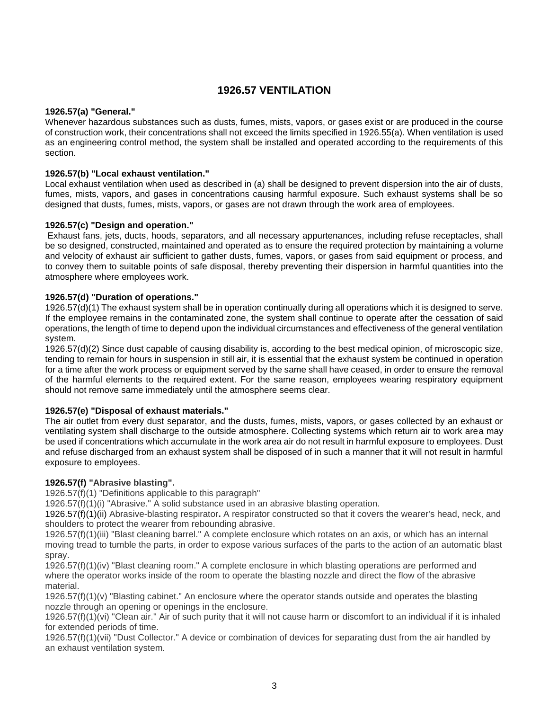# **1926.57 VENTILATION**

### <span id="page-2-1"></span><span id="page-2-0"></span>**1926.57(a) "General."**

Whenever hazardous substances such as dusts, fumes, mists, vapors, or gases exist or are produced in the course of construction work, their concentrations shall not exceed the limits specified in 1926.55(a). When ventilation is used as an engineering control method, the system shall be installed and operated according to the requirements of this section.

### <span id="page-2-2"></span>**1926.57(b) "Local exhaust ventilation."**

Local exhaust ventilation when used as described in (a) shall be designed to prevent dispersion into the air of dusts, fumes, mists, vapors, and gases in concentrations causing harmful exposure. Such exhaust systems shall be so designed that dusts, fumes, mists, vapors, or gases are not drawn through the work area of employees.

### <span id="page-2-3"></span>**1926.57(c) "Design and operation."**

Exhaust fans, jets, ducts, hoods, separators, and all necessary appurtenances, including refuse receptacles, shall be so designed, constructed, maintained and operated as to ensure the required protection by maintaining a volume and velocity of exhaust air sufficient to gather dusts, fumes, vapors, or gases from said equipment or process, and to convey them to suitable points of safe disposal, thereby preventing their dispersion in harmful quantities into the atmosphere where employees work.

### <span id="page-2-4"></span>**1926.57(d) "Duration of operations."**

1926.57(d)(1) The exhaust system shall be in operation continually during all operations which it is designed to serve. If the employee remains in the contaminated zone, the system shall continue to operate after the cessation of said operations, the length of time to depend upon the individual circumstances and effectiveness of the general ventilation system.

1926.57(d)(2) Since dust capable of causing disability is, according to the best medical opinion, of microscopic size, tending to remain for hours in suspension in still air, it is essential that the exhaust system be continued in operation for a time after the work process or equipment served by the same shall have ceased, in order to ensure the removal of the harmful elements to the required extent. For the same reason, employees wearing respiratory equipment should not remove same immediately until the atmosphere seems clear.

### <span id="page-2-5"></span>**1926.57(e) "Disposal of exhaust materials."**

The air outlet from every dust separator, and the dusts, fumes, mists, vapors, or gases collected by an exhaust or ventilating system shall discharge to the outside atmosphere. Collecting systems which return air to work area may be used if concentrations which accumulate in the work area air do not result in harmful exposure to employees. Dust and refuse discharged from an exhaust system shall be disposed of in such a manner that it will not result in harmful exposure to employees.

### <span id="page-2-6"></span>**[1926.57\(f\) "](https://www.osha.gov/laws-regs/interlinking/standards/1926.57(f))Abrasive blasting".**

1926.57(f)(1) "Definitions applicable to this paragraph"

1926.57(f)(1)(i) "Abrasive." A solid substance used in an abrasive blasting operation.

[1926.57\(f\)\(1\)\(ii\) A](https://www.osha.gov/laws-regs/interlinking/standards/1926.57(f)(1)(ii))brasive-blasting respirator**.** A respirator constructed so that it covers the wearer's head, neck, and shoulders to protect the wearer from rebounding abrasive.

1926.57(f)(1)(iii) "Blast cleaning barrel." A complete enclosure which rotates on an axis, or which has an internal moving tread to tumble the parts, in order to expose various surfaces of the parts to the action of an automatic blast spray.

1926.57(f)(1)(iv) "Blast cleaning room." A complete enclosure in which blasting operations are performed and where the operator works inside of the room to operate the blasting nozzle and direct the flow of the abrasive material.

1926.57(f)(1)(v) "Blasting cabinet." An enclosure where the operator stands outside and operates the blasting nozzle through an opening or openings in the enclosure.

 $1926.57(f)(1)(vi)$  "Clean air." Air of such purity that it will not cause harm or discomfort to an individual if it is inhaled for extended periods of time.

1926.57(f)(1)(vii) "Dust Collector." A device or combination of devices for separating dust from the air handled by an exhaust ventilation system.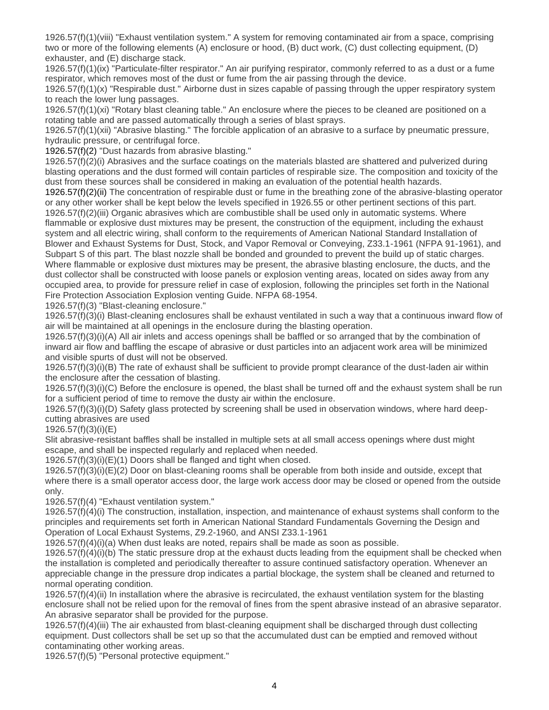1926.57(f)(1)(viii) "Exhaust ventilation system." A system for removing contaminated air from a space, comprising two or more of the following elements (A) enclosure or hood, (B) duct work, (C) dust collecting equipment, (D) exhauster, and (E) discharge stack.

1926.57(f)(1)(ix) "Particulate-filter respirator." An air purifying respirator, commonly referred to as a dust or a fume respirator, which removes most of the dust or fume from the air passing through the device.

1926.57(f)(1)(x) "Respirable dust." Airborne dust in sizes capable of passing through the upper respiratory system to reach the lower lung passages.

1926.57(f)(1)(xi) "Rotary blast cleaning table." An enclosure where the pieces to be cleaned are positioned on a rotating table and are passed automatically through a series of blast sprays.

1926.57(f)(1)(xii) "Abrasive blasting." The forcible application of an abrasive to a surface by pneumatic pressure, hydraulic pressure, or centrifugal force.

[1926.57\(f\)\(2\) "](https://www.osha.gov/laws-regs/interlinking/standards/1926.57(f)(2))Dust hazards from abrasive blasting."

1926.57(f)(2)(i) Abrasives and the surface coatings on the materials blasted are shattered and pulverized during blasting operations and the dust formed will contain particles of respirable size. The composition and toxicity of the dust from these sources shall be considered in making an evaluation of the potential health hazards.

[1926.57\(f\)\(2\)\(ii\) T](https://www.osha.gov/laws-regs/interlinking/standards/1926.57(f)(2)(ii))he concentration of respirable dust or fume in the breathing zone of the abrasive-blasting operator or any other worker shall be kept below the levels specified in 1926.55 or other pertinent sections of this part. 1926.57(f)(2)(iii) Organic abrasives which are combustible shall be used only in automatic systems. Where flammable or explosive dust mixtures may be present, the construction of the equipment, including the exhaust system and all electric wiring, shall conform to the requirements of American National Standard Installation of Blower and Exhaust Systems for Dust, Stock, and Vapor Removal or Conveying, Z33.1-1961 (NFPA 91-1961), and Subpart S of this part. The blast nozzle shall be bonded and grounded to prevent the build up of static charges. Where flammable or explosive dust mixtures may be present, the abrasive blasting enclosure, the ducts, and the dust collector shall be constructed with loose panels or explosion venting areas, located on sides away from any occupied area, to provide for pressure relief in case of explosion, following the principles set forth in the National Fire Protection Association Explosion venting Guide. NFPA 68-1954.

1926.57(f)(3) "Blast-cleaning enclosure."

1926.57(f)(3)(i) Blast-cleaning enclosures shall be exhaust ventilated in such a way that a continuous inward flow of air will be maintained at all openings in the enclosure during the blasting operation.

1926.57(f)(3)(i)(A) All air inlets and access openings shall be baffled or so arranged that by the combination of inward air flow and baffling the escape of abrasive or dust particles into an adjacent work area will be minimized and visible spurts of dust will not be observed.

1926.57(f)(3)(i)(B) The rate of exhaust shall be sufficient to provide prompt clearance of the dust-laden air within the enclosure after the cessation of blasting.

1926.57(f)(3)(i)(C) Before the enclosure is opened, the blast shall be turned off and the exhaust system shall be run for a sufficient period of time to remove the dusty air within the enclosure.

1926.57(f)(3)(i)(D) Safety glass protected by screening shall be used in observation windows, where hard deepcutting abrasives are used

1926.57(f)(3)(i)(E)

Slit abrasive-resistant baffles shall be installed in multiple sets at all small access openings where dust might escape, and shall be inspected regularly and replaced when needed.

1926.57(f)(3)(i)(E)(1) Doors shall be flanged and tight when closed.

1926.57(f)(3)(i)(E)(2) Door on blast-cleaning rooms shall be operable from both inside and outside, except that where there is a small operator access door, the large work access door may be closed or opened from the outside only.

1926.57(f)(4) "Exhaust ventilation system."

1926.57(f)(4)(i) The construction, installation, inspection, and maintenance of exhaust systems shall conform to the principles and requirements set forth in American National Standard Fundamentals Governing the Design and Operation of Local Exhaust Systems, Z9.2-1960, and ANSI Z33.1-1961

1926.57(f)(4)(i)(a) When dust leaks are noted, repairs shall be made as soon as possible.

1926.57(f)(4)(i)(b) The static pressure drop at the exhaust ducts leading from the equipment shall be checked when the installation is completed and periodically thereafter to assure continued satisfactory operation. Whenever an appreciable change in the pressure drop indicates a partial blockage, the system shall be cleaned and returned to normal operating condition.

1926.57(f)(4)(ii) In installation where the abrasive is recirculated, the exhaust ventilation system for the blasting enclosure shall not be relied upon for the removal of fines from the spent abrasive instead of an abrasive separator. An abrasive separator shall be provided for the purpose.

1926.57(f)(4)(iii) The air exhausted from blast-cleaning equipment shall be discharged through dust collecting equipment. Dust collectors shall be set up so that the accumulated dust can be emptied and removed without contaminating other working areas.

1926.57(f)(5) "Personal protective equipment."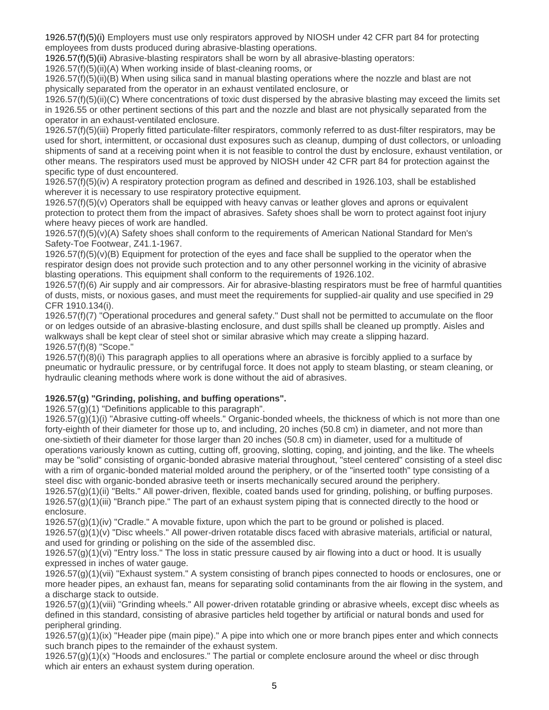[1926.57\(f\)\(5\)\(i\)](https://www.osha.gov/laws-regs/interlinking/standards/1926.57(f)(5)(i)) Employers must use only respirators approved by NIOSH under 42 CFR part 84 for protecting employees from dusts produced during abrasive-blasting operations.

[1926.57\(f\)\(5\)\(ii\) A](https://www.osha.gov/laws-regs/interlinking/standards/1926.57(f)(5)(ii))brasive-blasting respirators shall be worn by all abrasive-blasting operators:

1926.57(f)(5)(ii)(A) When working inside of blast-cleaning rooms, or

1926.57(f)(5)(ii)(B) When using silica sand in manual blasting operations where the nozzle and blast are not physically separated from the operator in an exhaust ventilated enclosure, or

1926.57(f)(5)(ii)(C) Where concentrations of toxic dust dispersed by the abrasive blasting may exceed the limits set in 1926.55 or other pertinent sections of this part and the nozzle and blast are not physically separated from the operator in an exhaust-ventilated enclosure.

1926.57(f)(5)(iii) Properly fitted particulate-filter respirators, commonly referred to as dust-filter respirators, may be used for short, intermittent, or occasional dust exposures such as cleanup, dumping of dust collectors, or unloading shipments of sand at a receiving point when it is not feasible to control the dust by enclosure, exhaust ventilation, or other means. The respirators used must be approved by NIOSH under 42 CFR part 84 for protection against the specific type of dust encountered.

1926.57(f)(5)(iv) A respiratory protection program as defined and described in 1926.103, shall be established wherever it is necessary to use respiratory protective equipment.

1926.57(f)(5)(v) Operators shall be equipped with heavy canvas or leather gloves and aprons or equivalent protection to protect them from the impact of abrasives. Safety shoes shall be worn to protect against foot injury where heavy pieces of work are handled.

1926.57(f)(5)(v)(A) Safety shoes shall conform to the requirements of American National Standard for Men's Safety-Toe Footwear, Z41.1-1967.

1926.57(f)(5)(v)(B) Equipment for protection of the eyes and face shall be supplied to the operator when the respirator design does not provide such protection and to any other personnel working in the vicinity of abrasive blasting operations. This equipment shall conform to the requirements of 1926.102.

1926.57(f)(6) Air supply and air compressors. Air for abrasive-blasting respirators must be free of harmful quantities of dusts, mists, or noxious gases, and must meet the requirements for supplied-air quality and use specified in 29 CFR 1910.134(i).

1926.57(f)(7) "Operational procedures and general safety." Dust shall not be permitted to accumulate on the floor or on ledges outside of an abrasive-blasting enclosure, and dust spills shall be cleaned up promptly. Aisles and walkways shall be kept clear of steel shot or similar abrasive which may create a slipping hazard. 1926.57(f)(8) "Scope."

1926.57(f)(8)(i) This paragraph applies to all operations where an abrasive is forcibly applied to a surface by pneumatic or hydraulic pressure, or by centrifugal force. It does not apply to steam blasting, or steam cleaning, or hydraulic cleaning methods where work is done without the aid of abrasives.

### <span id="page-4-0"></span>**1926.57(g) "Grinding, polishing, and buffing operations".**

1926.57(g)(1) "Definitions applicable to this paragraph".

1926.57(g)(1)(i) "Abrasive cutting-off wheels." Organic-bonded wheels, the thickness of which is not more than one forty-eighth of their diameter for those up to, and including, 20 inches (50.8 cm) in diameter, and not more than one-sixtieth of their diameter for those larger than 20 inches (50.8 cm) in diameter, used for a multitude of operations variously known as cutting, cutting off, grooving, slotting, coping, and jointing, and the like. The wheels may be "solid" consisting of organic-bonded abrasive material throughout, "steel centered" consisting of a steel disc with a rim of organic-bonded material molded around the periphery, or of the "inserted tooth" type consisting of a steel disc with organic-bonded abrasive teeth or inserts mechanically secured around the periphery.

1926.57(g)(1)(ii) "Belts." All power-driven, flexible, coated bands used for grinding, polishing, or buffing purposes. 1926.57(g)(1)(iii) "Branch pipe." The part of an exhaust system piping that is connected directly to the hood or enclosure.

1926.57(g)(1)(iv) "Cradle." A movable fixture, upon which the part to be ground or polished is placed.

1926.57(g)(1)(v) "Disc wheels." All power-driven rotatable discs faced with abrasive materials, artificial or natural, and used for grinding or polishing on the side of the assembled disc.

1926.57(g)(1)(vi) "Entry loss." The loss in static pressure caused by air flowing into a duct or hood. It is usually expressed in inches of water gauge.

1926.57(g)(1)(vii) "Exhaust system." A system consisting of branch pipes connected to hoods or enclosures, one or more header pipes, an exhaust fan, means for separating solid contaminants from the air flowing in the system, and a discharge stack to outside.

1926.57(g)(1)(viii) "Grinding wheels." All power-driven rotatable grinding or abrasive wheels, except disc wheels as defined in this standard, consisting of abrasive particles held together by artificial or natural bonds and used for peripheral grinding.

1926.57(g)(1)(ix) "Header pipe (main pipe)." A pipe into which one or more branch pipes enter and which connects such branch pipes to the remainder of the exhaust system.

1926.57(g)(1)(x) "Hoods and enclosures." The partial or complete enclosure around the wheel or disc through which air enters an exhaust system during operation.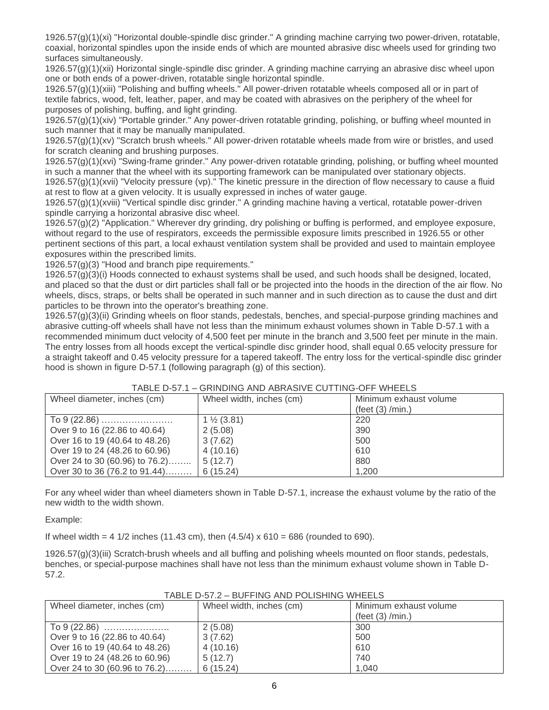1926.57(g)(1)(xi) "Horizontal double-spindle disc grinder." A grinding machine carrying two power-driven, rotatable, coaxial, horizontal spindles upon the inside ends of which are mounted abrasive disc wheels used for grinding two surfaces simultaneously.

1926.57(g)(1)(xii) Horizontal single-spindle disc grinder. A grinding machine carrying an abrasive disc wheel upon one or both ends of a power-driven, rotatable single horizontal spindle.

1926.57(g)(1)(xiii) "Polishing and buffing wheels." All power-driven rotatable wheels composed all or in part of textile fabrics, wood, felt, leather, paper, and may be coated with abrasives on the periphery of the wheel for purposes of polishing, buffing, and light grinding.

1926.57(g)(1)(xiv) "Portable grinder." Any power-driven rotatable grinding, polishing, or buffing wheel mounted in such manner that it may be manually manipulated.

1926.57(g)(1)(xv) "Scratch brush wheels." All power-driven rotatable wheels made from wire or bristles, and used for scratch cleaning and brushing purposes.

1926.57(g)(1)(xvi) "Swing-frame grinder." Any power-driven rotatable grinding, polishing, or buffing wheel mounted in such a manner that the wheel with its supporting framework can be manipulated over stationary objects.

1926.57(g)(1)(xvii) "Velocity pressure (vp)." The kinetic pressure in the direction of flow necessary to cause a fluid at rest to flow at a given velocity. It is usually expressed in inches of water gauge.

1926.57(g)(1)(xviii) "Vertical spindle disc grinder." A grinding machine having a vertical, rotatable power-driven spindle carrying a horizontal abrasive disc wheel.

1926.57(g)(2) "Application." Wherever dry grinding, dry polishing or buffing is performed, and employee exposure, without regard to the use of respirators, exceeds the permissible exposure limits prescribed in 1926.55 or other pertinent sections of this part, a local exhaust ventilation system shall be provided and used to maintain employee exposures within the prescribed limits.

1926.57(g)(3) "Hood and branch pipe requirements."

1926.57(g)(3)(i) Hoods connected to exhaust systems shall be used, and such hoods shall be designed, located, and placed so that the dust or dirt particles shall fall or be projected into the hoods in the direction of the air flow. No wheels, discs, straps, or belts shall be operated in such manner and in such direction as to cause the dust and dirt particles to be thrown into the operator's breathing zone.

1926.57(g)(3)(ii) Grinding wheels on floor stands, pedestals, benches, and special-purpose grinding machines and abrasive cutting-off wheels shall have not less than the minimum exhaust volumes shown in Table D-57.1 with a recommended minimum duct velocity of 4,500 feet per minute in the branch and 3,500 feet per minute in the main. The entry losses from all hoods except the vertical-spindle disc grinder hood, shall equal 0.65 velocity pressure for a straight takeoff and 0.45 velocity pressure for a tapered takeoff. The entry loss for the vertical-spindle disc grinder hood is shown in figure D-57.1 (following paragraph (g) of this section).

| <u> UNITELLU / INTERNIUM LUUTITINU ULI IIILLEU</u> |                          |                        |  |  |  |
|----------------------------------------------------|--------------------------|------------------------|--|--|--|
| Wheel diameter, inches (cm)                        | Wheel width, inches (cm) | Minimum exhaust volume |  |  |  |
|                                                    |                          | ( feet (3) / min.)     |  |  |  |
|                                                    | $1\frac{1}{2}$ (3.81)    | 220                    |  |  |  |
| Over 9 to 16 (22.86 to 40.64)                      | 2(5.08)                  | 390                    |  |  |  |
| Over 16 to 19 (40.64 to 48.26)                     | 3(7.62)                  | 500                    |  |  |  |
| Over 19 to 24 (48.26 to 60.96)                     | 4 (10.16)                | 610                    |  |  |  |
| Over 24 to 30 (60.96) to 76.2)                     | 5(12.7)                  | 880                    |  |  |  |
| Over 30 to 36 (76.2 to 91.44)                      | 6(15.24)                 | 1,200                  |  |  |  |

TABLE D-57.1 – GRINDING AND ABRASIVE CUTTING-OFF WHEELS

For any wheel wider than wheel diameters shown in Table D-57.1, increase the exhaust volume by the ratio of the new width to the width shown.

Example:

If wheel width =  $4 \frac{1}{2}$  inches (11.43 cm), then  $(4.5/4) \times 610 = 686$  (rounded to 690).

1926.57(g)(3)(iii) Scratch-brush wheels and all buffing and polishing wheels mounted on floor stands, pedestals, benches, or special-purpose machines shall have not less than the minimum exhaust volume shown in Table D-57.2.

| Wheel diameter, inches (cm)      | Wheel width, inches (cm) | Minimum exhaust volume             |  |
|----------------------------------|--------------------------|------------------------------------|--|
|                                  |                          | $(\text{feet } (3) / \text{min.})$ |  |
| $\overline{1}$ o 9 (22.86)       | 2(5.08)                  | 300                                |  |
| Over 9 to 16 (22.86 to 40.64)    | 3(7.62)                  | 500                                |  |
| Over 16 to 19 (40.64 to 48.26)   | 4 (10.16)                | 610                                |  |
| Over 19 to 24 (48.26 to 60.96)   | 5(12.7)                  | 740                                |  |
| Over 24 to 30 (60.96 to $76.2$ ) | 6(15.24)                 | 1,040                              |  |

#### TABLE D-57.2 – BUFFING AND POLISHING WHEELS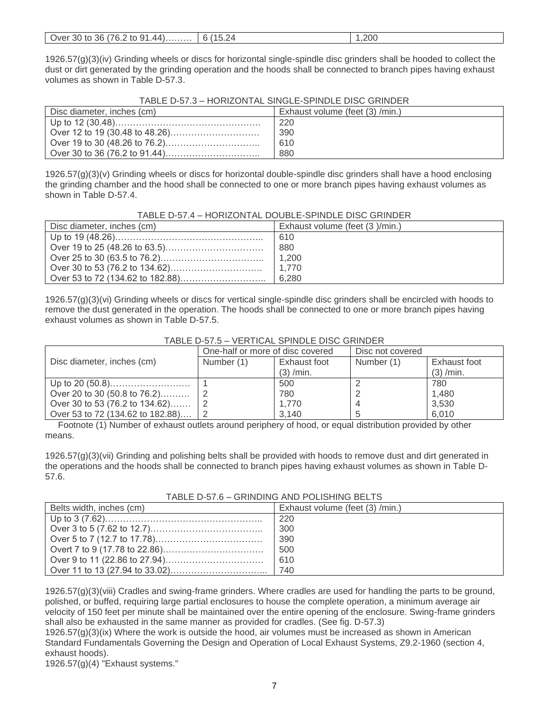|  | ົ (76.∠<br>36<br>44)<br>ි to s<br>Over<br>. u≁<br>-30 to<br>. | (4E)<br>') Д<br>v<br>∣ J.∠ | 1.200 |
|--|---------------------------------------------------------------|----------------------------|-------|
|--|---------------------------------------------------------------|----------------------------|-------|

1926.57(g)(3)(iv) Grinding wheels or discs for horizontal single-spindle disc grinders shall be hooded to collect the dust or dirt generated by the grinding operation and the hoods shall be connected to branch pipes having exhaust volumes as shown in Table D-57.3.

TABLE D-57.3 – HORIZONTAL SINGLE-SPINDLE DISC GRINDER

| Disc diameter, inches (cm) | Exhaust volume (feet (3) /min.) |  |  |  |  |
|----------------------------|---------------------------------|--|--|--|--|
|                            | 220                             |  |  |  |  |
|                            | 390                             |  |  |  |  |
|                            | 610                             |  |  |  |  |
|                            | 880                             |  |  |  |  |

1926.57(g)(3)(v) Grinding wheels or discs for horizontal double-spindle disc grinders shall have a hood enclosing the grinding chamber and the hood shall be connected to one or more branch pipes having exhaust volumes as shown in Table D-57.4.

TABLE D-57.4 – HORIZONTAL DOUBLE-SPINDLE DISC GRINDER

| Disc diameter, inches (cm) | Exhaust volume (feet (3)/min.) |
|----------------------------|--------------------------------|
|                            | 610                            |
|                            | 880                            |
|                            | 1,200                          |
|                            | 1.770                          |
|                            | 6,280                          |

1926.57(g)(3)(vi) Grinding wheels or discs for vertical single-spindle disc grinders shall be encircled with hoods to remove the dust generated in the operation. The hoods shall be connected to one or more branch pipes having exhaust volumes as shown in Table D-57.5.

|                                  | One-half or more of disc covered |              | Disc not covered |              |
|----------------------------------|----------------------------------|--------------|------------------|--------------|
| Disc diameter, inches (cm)       | Number (1)                       | Exhaust foot | Number (1)       | Exhaust foot |
|                                  |                                  | $(3)$ /min.  |                  | $(3)$ /min.  |
|                                  |                                  | 500          |                  | 780          |
| Over 20 to 30 (50.8 to 76.2)     |                                  | 780          |                  | 1,480        |
| Over 30 to 53 (76.2 to 134.62)   |                                  | 1,770        |                  | 3,530        |
| Over 53 to 72 (134.62 to 182.88) |                                  | 3,140        |                  | 6,010        |

Footnote (1) Number of exhaust outlets around periphery of hood, or equal distribution provided by other means.

1926.57(g)(3)(vii) Grinding and polishing belts shall be provided with hoods to remove dust and dirt generated in the operations and the hoods shall be connected to branch pipes having exhaust volumes as shown in Table D-57.6.

| Belts width, inches (cm) | Exhaust volume (feet (3) /min.) |
|--------------------------|---------------------------------|
|                          | 220                             |
|                          | 300                             |
|                          | 390                             |
|                          | 500                             |
|                          | 610                             |
|                          | 740                             |

TABLE D-57.6 – GRINDING AND POLISHING BELTS

1926.57(g)(3)(viii) Cradles and swing-frame grinders. Where cradles are used for handling the parts to be ground, polished, or buffed, requiring large partial enclosures to house the complete operation, a minimum average air velocity of 150 feet per minute shall be maintained over the entire opening of the enclosure. Swing-frame grinders shall also be exhausted in the same manner as provided for cradles. (See fig. D-57.3)

1926.57(g)(3)(ix) Where the work is outside the hood, air volumes must be increased as shown in American Standard Fundamentals Governing the Design and Operation of Local Exhaust Systems, Z9.2-1960 (section 4, exhaust hoods).

1926.57(g)(4) "Exhaust systems."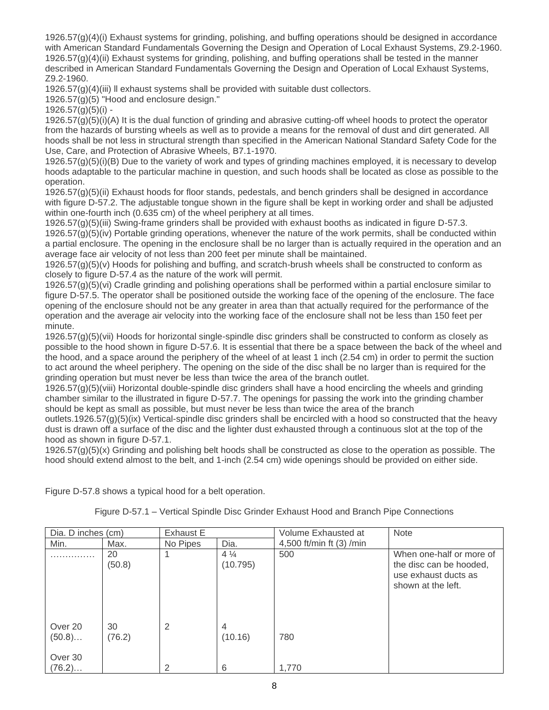1926.57(g)(4)(i) Exhaust systems for grinding, polishing, and buffing operations should be designed in accordance with American Standard Fundamentals Governing the Design and Operation of Local Exhaust Systems, Z9.2-1960. 1926.57(g)(4)(ii) Exhaust systems for grinding, polishing, and buffing operations shall be tested in the manner described in American Standard Fundamentals Governing the Design and Operation of Local Exhaust Systems, Z9.2-1960.

1926.57(g)(4)(iii) ll exhaust systems shall be provided with suitable dust collectors.

1926.57(g)(5) "Hood and enclosure design."

 $1926.57(g)(5)(i)$  -

1926.57(g)(5)(i)(A) It is the dual function of grinding and abrasive cutting-off wheel hoods to protect the operator from the hazards of bursting wheels as well as to provide a means for the removal of dust and dirt generated. All hoods shall be not less in structural strength than specified in the American National Standard Safety Code for the Use, Care, and Protection of Abrasive Wheels, B7.1-1970.

1926.57(g)(5)(i)(B) Due to the variety of work and types of grinding machines employed, it is necessary to develop hoods adaptable to the particular machine in question, and such hoods shall be located as close as possible to the operation.

1926.57(g)(5)(ii) Exhaust hoods for floor stands, pedestals, and bench grinders shall be designed in accordance with figure D-57.2. The adjustable tongue shown in the figure shall be kept in working order and shall be adjusted within one-fourth inch (0.635 cm) of the wheel periphery at all times.

1926.57(g)(5)(iii) Swing-frame grinders shall be provided with exhaust booths as indicated in figure D-57.3. 1926.57(g)(5)(iv) Portable grinding operations, whenever the nature of the work permits, shall be conducted within a partial enclosure. The opening in the enclosure shall be no larger than is actually required in the operation and an average face air velocity of not less than 200 feet per minute shall be maintained.

1926.57(g)(5)(v) Hoods for polishing and buffing, and scratch-brush wheels shall be constructed to conform as closely to figure D-57.4 as the nature of the work will permit.

1926.57(g)(5)(vi) Cradle grinding and polishing operations shall be performed within a partial enclosure similar to figure D-57.5. The operator shall be positioned outside the working face of the opening of the enclosure. The face opening of the enclosure should not be any greater in area than that actually required for the performance of the operation and the average air velocity into the working face of the enclosure shall not be less than 150 feet per minute.

1926.57(g)(5)(vii) Hoods for horizontal single-spindle disc grinders shall be constructed to conform as closely as possible to the hood shown in figure D-57.6. It is essential that there be a space between the back of the wheel and the hood, and a space around the periphery of the wheel of at least 1 inch (2.54 cm) in order to permit the suction to act around the wheel periphery. The opening on the side of the disc shall be no larger than is required for the grinding operation but must never be less than twice the area of the branch outlet.

1926.57(g)(5)(viii) Horizontal double-spindle disc grinders shall have a hood encircling the wheels and grinding chamber similar to the illustrated in figure D-57.7. The openings for passing the work into the grinding chamber should be kept as small as possible, but must never be less than twice the area of the branch

outlets.1926.57(g)(5)(ix) Vertical-spindle disc grinders shall be encircled with a hood so constructed that the heavy dust is drawn off a surface of the disc and the lighter dust exhausted through a continuous slot at the top of the hood as shown in figure D-57.1.

1926.57(g)(5)(x) Grinding and polishing belt hoods shall be constructed as close to the operation as possible. The hood should extend almost to the belt, and 1-inch (2.54 cm) wide openings should be provided on either side.

Figure D-57.8 shows a typical hood for a belt operation.

| Dia. D inches (cm) |              | <b>Exhaust E</b> |                            | Volume Exhausted at      | <b>Note</b>                                                                                       |
|--------------------|--------------|------------------|----------------------------|--------------------------|---------------------------------------------------------------------------------------------------|
| Min.               | Max.         | No Pipes         | Dia.                       | 4,500 ft/min ft (3) /min |                                                                                                   |
| .                  | 20<br>(50.8) |                  | $4\frac{1}{4}$<br>(10.795) | 500                      | When one-half or more of<br>the disc can be hooded,<br>use exhaust ducts as<br>shown at the left. |
| Over 20<br>(50.8)  | 30<br>(76.2) | 2                | 4<br>(10.16)               | 780                      |                                                                                                   |
| Over 30<br>(76.2)  |              | 2                | 6                          | 1,770                    |                                                                                                   |

Figure D-57.1 – Vertical Spindle Disc Grinder Exhaust Hood and Branch Pipe Connections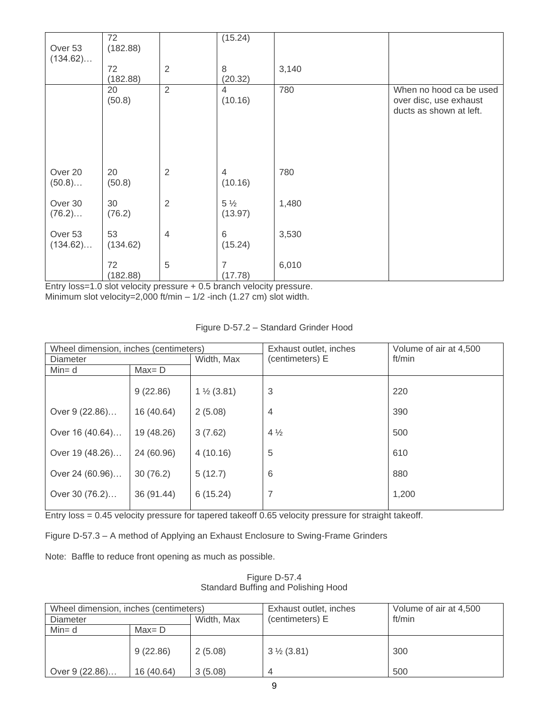| Over 53<br>(134.62) | 72<br>(182.88) |                | (15.24)                   |       |                                                                              |
|---------------------|----------------|----------------|---------------------------|-------|------------------------------------------------------------------------------|
|                     | 72<br>(182.88) | $\overline{2}$ | $\,8\,$<br>(20.32)        | 3,140 |                                                                              |
|                     | 20<br>(50.8)   | $\overline{2}$ | 4<br>(10.16)              | 780   | When no hood ca be used<br>over disc, use exhaust<br>ducts as shown at left. |
| Over 20<br>(50.8)   | 20<br>(50.8)   | $\overline{2}$ | 4<br>(10.16)              | 780   |                                                                              |
| Over 30<br>(76.2)   | 30<br>(76.2)   | $\overline{2}$ | $5\frac{1}{2}$<br>(13.97) | 1,480 |                                                                              |
| Over 53<br>(134.62) | 53<br>(134.62) | $\overline{4}$ | 6<br>(15.24)              | 3,530 |                                                                              |
|                     | 72<br>(182.88) | 5              | 7<br>(17.78)              | 6,010 |                                                                              |

Entry loss=1.0 slot velocity pressure + 0.5 branch velocity pressure. Minimum slot velocity=2,000 ft/min  $-1/2$  -inch (1.27 cm) slot width.

| Figure D-57.2 - Standard Grinder Hood |  |
|---------------------------------------|--|
|---------------------------------------|--|

| Wheel dimension, inches (centimeters) |            |                       | Exhaust outlet, inches | Volume of air at 4,500 |  |
|---------------------------------------|------------|-----------------------|------------------------|------------------------|--|
| Diameter                              |            | Width, Max            | (centimeters) E        | ft/min                 |  |
| $Min = d$                             | $Max = D$  |                       |                        |                        |  |
|                                       | 9(22.86)   | $1\frac{1}{2}$ (3.81) | 3                      | 220                    |  |
| Over 9 (22.86)                        | 16 (40.64) | 2(5.08)               | $\overline{4}$         | 390                    |  |
| Over 16 (40.64)                       | 19 (48.26) | 3(7.62)               | $4\frac{1}{2}$         | 500                    |  |
| Over 19 (48.26)                       | 24 (60.96) | 4(10.16)              | 5                      | 610                    |  |
| Over 24 (60.96)                       | 30(76.2)   | 5(12.7)               | 6                      | 880                    |  |
| Over 30 (76.2)                        | 36 (91.44) | 6(15.24)              | 7                      | 1,200                  |  |
|                                       |            |                       |                        |                        |  |

Entry loss = 0.45 velocity pressure for tapered takeoff 0.65 velocity pressure for straight takeoff.

Figure D-57.3 – A method of Applying an Exhaust Enclosure to Swing-Frame Grinders

Note: Baffle to reduce front opening as much as possible.

| Wheel dimension, inches (centimeters) |            |            | Exhaust outlet, inches | Volume of air at 4,500 |  |
|---------------------------------------|------------|------------|------------------------|------------------------|--|
| Diameter                              |            | Width, Max | (centimeters) E        | ft/min                 |  |
| $Min = d$                             | $Max = D$  |            |                        |                        |  |
|                                       | 9(22.86)   | 2(5.08)    | $3\frac{1}{2}(3.81)$   | 300                    |  |
| Over 9 (22.86)                        | 16 (40.64) | 3(5.08)    |                        | 500                    |  |

# Figure D-57.4 Standard Buffing and Polishing Hood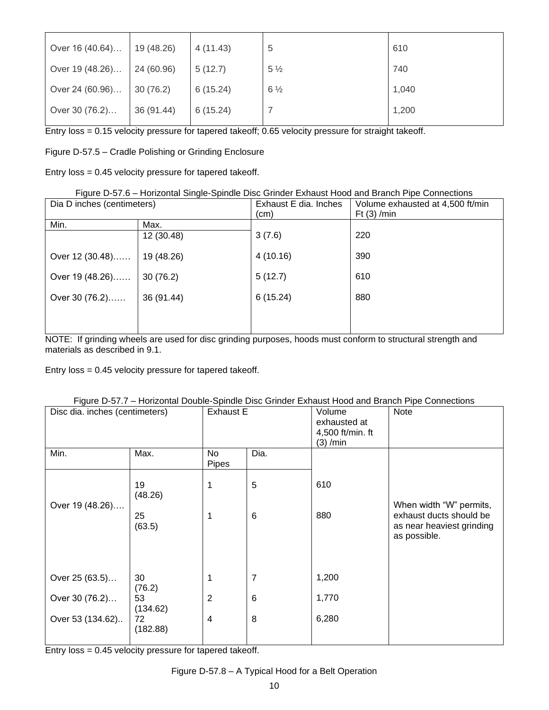| 19 (48.26) | 4(11.43) | 5              | 610   |
|------------|----------|----------------|-------|
| 24 (60.96) | 5(12.7)  | $5\frac{1}{2}$ | 740   |
| 30(76.2)   | 6(15.24) | $6\frac{1}{2}$ | 1,040 |
| 36 (91.44) | 6(15.24) |                | 1,200 |
|            |          |                |       |

Entry loss = 0.15 velocity pressure for tapered takeoff; 0.65 velocity pressure for straight takeoff.

Figure D-57.5 – Cradle Polishing or Grinding Enclosure

Entry loss = 0.45 velocity pressure for tapered takeoff.

## Figure D-57.6 – Horizontal Single-Spindle Disc Grinder Exhaust Hood and Branch Pipe Connections

| Dia D inches (centimeters) |            | Exhaust E dia. Inches<br>(cm) | Volume exhausted at 4,500 ft/min<br>$Ft(3)$ /min |
|----------------------------|------------|-------------------------------|--------------------------------------------------|
| Min.                       | Max.       |                               |                                                  |
|                            | 12 (30.48) | 3(7.6)                        | 220                                              |
| Over 12 (30.48)            | 19 (48.26) | 4(10.16)                      | 390                                              |
| Over 19 (48.26)            | 30(76.2)   | 5(12.7)                       | 610                                              |
| Over 30 (76.2)             | 36 (91.44) | 6(15.24)                      | 880                                              |
|                            |            |                               |                                                  |

NOTE: If grinding wheels are used for disc grinding purposes, hoods must conform to structural strength and materials as described in 9.1.

Entry loss = 0.45 velocity pressure for tapered takeoff.

| Disc dia. inches (centimeters) |                            | <b>Exhaust E</b> |       | Volume<br>exhausted at<br>4,500 ft/min. ft<br>$(3)$ /min | <b>Note</b>                                                                                     |
|--------------------------------|----------------------------|------------------|-------|----------------------------------------------------------|-------------------------------------------------------------------------------------------------|
| Min.                           | Max.                       | No<br>Pipes      | Dia.  |                                                          |                                                                                                 |
|                                | 19<br>(48.26)              | 1                | 5     | 610                                                      |                                                                                                 |
| Over 19 (48.26)                | 25<br>(63.5)               | 1                | $\,6$ | 880                                                      | When width "W" permits,<br>exhaust ducts should be<br>as near heaviest grinding<br>as possible. |
| Over 25 (63.5)                 | 30                         | 1                | 7     | 1,200                                                    |                                                                                                 |
| Over 30 (76.2)                 | (76.2)<br>53               | $\overline{2}$   | $\,6$ | 1,770                                                    |                                                                                                 |
| Over 53 (134.62)               | (134.62)<br>72<br>(182.88) | 4                | 8     | 6,280                                                    |                                                                                                 |

## Figure D-57.7 – Horizontal Double-Spindle Disc Grinder Exhaust Hood and Branch Pipe Connections

Entry loss = 0.45 velocity pressure for tapered takeoff.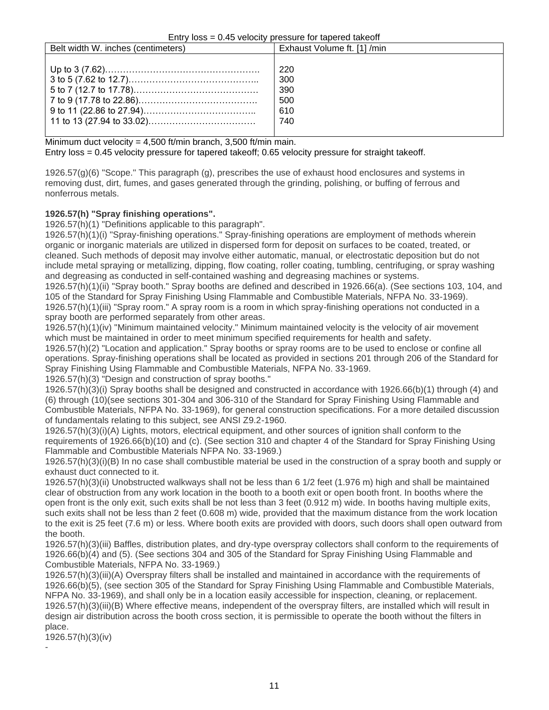|  |  | Entry loss = 0.45 velocity pressure for tapered takeoff |  |  |
|--|--|---------------------------------------------------------|--|--|
|  |  |                                                         |  |  |

| Little Rood – 0.40 VOIOORS production taporod tanguin |
|-------------------------------------------------------|
| Exhaust Volume ft. [1] /min                           |
| 220<br>300<br>390<br>500<br>610                       |
| 740                                                   |
|                                                       |

Minimum duct velocity =  $4,500$  ft/min branch, 3,500 ft/min main. Entry loss = 0.45 velocity pressure for tapered takeoff; 0.65 velocity pressure for straight takeoff.

1926.57(g)(6) "Scope." This paragraph (g), prescribes the use of exhaust hood enclosures and systems in removing dust, dirt, fumes, and gases generated through the grinding, polishing, or buffing of ferrous and nonferrous metals.

# <span id="page-10-0"></span>**1926.57(h) "Spray finishing operations".**

1926.57(h)(1) "Definitions applicable to this paragraph".

1926.57(h)(1)(i) "Spray-finishing operations." Spray-finishing operations are employment of methods wherein organic or inorganic materials are utilized in dispersed form for deposit on surfaces to be coated, treated, or cleaned. Such methods of deposit may involve either automatic, manual, or electrostatic deposition but do not include metal spraying or metallizing, dipping, flow coating, roller coating, tumbling, centrifuging, or spray washing and degreasing as conducted in self-contained washing and degreasing machines or systems.

1926.57(h)(1)(ii) "Spray booth." Spray booths are defined and described in 1926.66(a). (See sections 103, 104, and 105 of the Standard for Spray Finishing Using Flammable and Combustible Materials, NFPA No. 33-1969). 1926.57(h)(1)(iii) "Spray room." A spray room is a room in which spray-finishing operations not conducted in a spray booth are performed separately from other areas.

1926.57(h)(1)(iv) "Minimum maintained velocity." Minimum maintained velocity is the velocity of air movement which must be maintained in order to meet minimum specified requirements for health and safety.

1926.57(h)(2) "Location and application." Spray booths or spray rooms are to be used to enclose or confine all operations. Spray-finishing operations shall be located as provided in sections 201 through 206 of the Standard for Spray Finishing Using Flammable and Combustible Materials, NFPA No. 33-1969.

1926.57(h)(3) "Design and construction of spray booths."

1926.57(h)(3)(i) Spray booths shall be designed and constructed in accordance with 1926.66(b)(1) through (4) and (6) through (10)(see sections 301-304 and 306-310 of the Standard for Spray Finishing Using Flammable and Combustible Materials, NFPA No. 33-1969), for general construction specifications. For a more detailed discussion of fundamentals relating to this subject, see ANSI Z9.2-1960.

1926.57(h)(3)(i)(A) Lights, motors, electrical equipment, and other sources of ignition shall conform to the requirements of 1926.66(b)(10) and (c). (See section 310 and chapter 4 of the Standard for Spray Finishing Using Flammable and Combustible Materials NFPA No. 33-1969.)

1926.57(h)(3)(i)(B) In no case shall combustible material be used in the construction of a spray booth and supply or exhaust duct connected to it.

1926.57(h)(3)(ii) Unobstructed walkways shall not be less than 6 1/2 feet (1.976 m) high and shall be maintained clear of obstruction from any work location in the booth to a booth exit or open booth front. In booths where the open front is the only exit, such exits shall be not less than 3 feet (0.912 m) wide. In booths having multiple exits, such exits shall not be less than 2 feet (0.608 m) wide, provided that the maximum distance from the work location to the exit is 25 feet (7.6 m) or less. Where booth exits are provided with doors, such doors shall open outward from the booth.

1926.57(h)(3)(iii) Baffles, distribution plates, and dry-type overspray collectors shall conform to the requirements of 1926.66(b)(4) and (5). (See sections 304 and 305 of the Standard for Spray Finishing Using Flammable and Combustible Materials, NFPA No. 33-1969.)

1926.57(h)(3)(iii)(A) Overspray filters shall be installed and maintained in accordance with the requirements of 1926.66(b)(5), (see section 305 of the Standard for Spray Finishing Using Flammable and Combustible Materials, NFPA No. 33-1969), and shall only be in a location easily accessible for inspection, cleaning, or replacement. 1926.57(h)(3)(iii)(B) Where effective means, independent of the overspray filters, are installed which will result in design air distribution across the booth cross section, it is permissible to operate the booth without the filters in place.

1926.57(h)(3)(iv)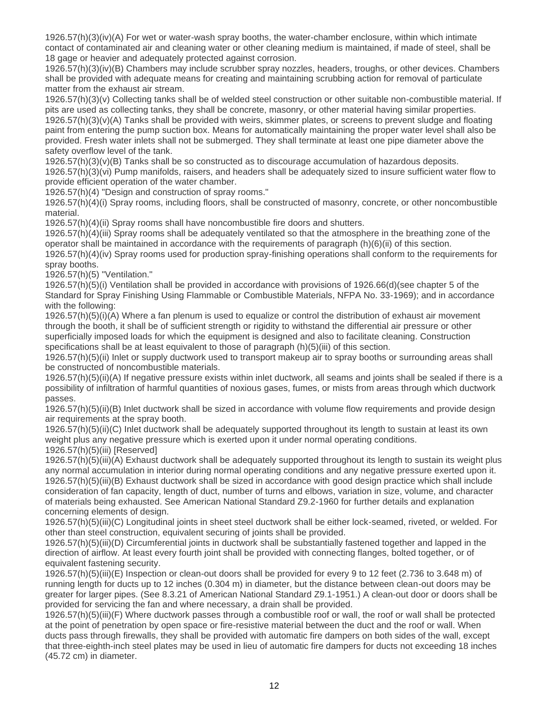1926.57(h)(3)(iv)(A) For wet or water-wash spray booths, the water-chamber enclosure, within which intimate contact of contaminated air and cleaning water or other cleaning medium is maintained, if made of steel, shall be 18 gage or heavier and adequately protected against corrosion.

1926.57(h)(3)(iv)(B) Chambers may include scrubber spray nozzles, headers, troughs, or other devices. Chambers shall be provided with adequate means for creating and maintaining scrubbing action for removal of particulate matter from the exhaust air stream.

1926.57(h)(3)(v) Collecting tanks shall be of welded steel construction or other suitable non-combustible material. If pits are used as collecting tanks, they shall be concrete, masonry, or other material having similar properties. 1926.57(h)(3)(v)(A) Tanks shall be provided with weirs, skimmer plates, or screens to prevent sludge and floating paint from entering the pump suction box. Means for automatically maintaining the proper water level shall also be provided. Fresh water inlets shall not be submerged. They shall terminate at least one pipe diameter above the safety overflow level of the tank.

1926.57(h)(3)(v)(B) Tanks shall be so constructed as to discourage accumulation of hazardous deposits. 1926.57(h)(3)(vi) Pump manifolds, raisers, and headers shall be adequately sized to insure sufficient water flow to provide efficient operation of the water chamber.

1926.57(h)(4) "Design and construction of spray rooms."

1926.57(h)(4)(i) Spray rooms, including floors, shall be constructed of masonry, concrete, or other noncombustible material.

1926.57(h)(4)(ii) Spray rooms shall have noncombustible fire doors and shutters.

1926.57(h)(4)(iii) Spray rooms shall be adequately ventilated so that the atmosphere in the breathing zone of the operator shall be maintained in accordance with the requirements of paragraph (h)(6)(ii) of this section.

1926.57(h)(4)(iv) Spray rooms used for production spray-finishing operations shall conform to the requirements for spray booths.

1926.57(h)(5) "Ventilation."

1926.57(h)(5)(i) Ventilation shall be provided in accordance with provisions of 1926.66(d)(see chapter 5 of the Standard for Spray Finishing Using Flammable or Combustible Materials, NFPA No. 33-1969); and in accordance with the following:

1926.57(h)(5)(i)(A) Where a fan plenum is used to equalize or control the distribution of exhaust air movement through the booth, it shall be of sufficient strength or rigidity to withstand the differential air pressure or other superficially imposed loads for which the equipment is designed and also to facilitate cleaning. Construction specifications shall be at least equivalent to those of paragraph (h)(5)(iii) of this section.

1926.57(h)(5)(ii) Inlet or supply ductwork used to transport makeup air to spray booths or surrounding areas shall be constructed of noncombustible materials.

1926.57(h)(5)(ii)(A) If negative pressure exists within inlet ductwork, all seams and joints shall be sealed if there is a possibility of infiltration of harmful quantities of noxious gases, fumes, or mists from areas through which ductwork passes.

1926.57(h)(5)(ii)(B) Inlet ductwork shall be sized in accordance with volume flow requirements and provide design air requirements at the spray booth.

1926.57(h)(5)(ii)(C) Inlet ductwork shall be adequately supported throughout its length to sustain at least its own weight plus any negative pressure which is exerted upon it under normal operating conditions.

1926.57(h)(5)(iii) [Reserved]

1926.57(h)(5)(iii)(A) Exhaust ductwork shall be adequately supported throughout its length to sustain its weight plus any normal accumulation in interior during normal operating conditions and any negative pressure exerted upon it. 1926.57(h)(5)(iii)(B) Exhaust ductwork shall be sized in accordance with good design practice which shall include consideration of fan capacity, length of duct, number of turns and elbows, variation in size, volume, and character of materials being exhausted. See American National Standard Z9.2-1960 for further details and explanation concerning elements of design.

1926.57(h)(5)(iii)(C) Longitudinal joints in sheet steel ductwork shall be either lock-seamed, riveted, or welded. For other than steel construction, equivalent securing of joints shall be provided.

1926.57(h)(5)(iii)(D) Circumferential joints in ductwork shall be substantially fastened together and lapped in the direction of airflow. At least every fourth joint shall be provided with connecting flanges, bolted together, or of equivalent fastening security.

1926.57(h)(5)(iii)(E) Inspection or clean-out doors shall be provided for every 9 to 12 feet (2.736 to 3.648 m) of running length for ducts up to 12 inches (0.304 m) in diameter, but the distance between clean-out doors may be greater for larger pipes. (See 8.3.21 of American National Standard Z9.1-1951.) A clean-out door or doors shall be provided for servicing the fan and where necessary, a drain shall be provided.

1926.57(h)(5)(iii)(F) Where ductwork passes through a combustible roof or wall, the roof or wall shall be protected at the point of penetration by open space or fire-resistive material between the duct and the roof or wall. When ducts pass through firewalls, they shall be provided with automatic fire dampers on both sides of the wall, except that three-eighth-inch steel plates may be used in lieu of automatic fire dampers for ducts not exceeding 18 inches (45.72 cm) in diameter.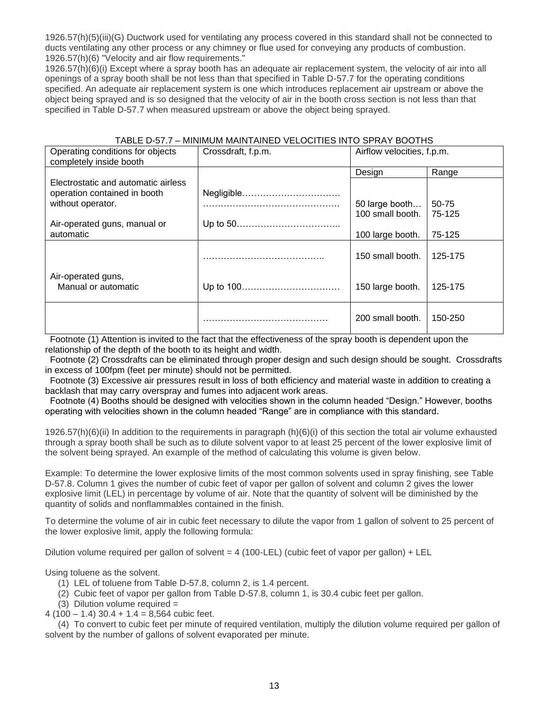1926.57(h)(5)(iii)(G) Ductwork used for ventilating any process covered in this standard shall not be connected to ducts ventilating any other process or any chimney or flue used for conveying any products of combustion. 1926.57(h)(6) "Velocity and air flow requirements."

1926.57(h)(6)(i) Except where a spray booth has an adequate air replacement system, the velocity of air into all openings of a spray booth shall be not less than that specified in Table D-57.7 for the operating conditions specified. An adequate air replacement system is one which introduces replacement air upstream or above the object being sprayed and is so designed that the velocity of air in the booth cross section is not less than that specified in Table D-57.7 when measured upstream or above the object being sprayed.

### TABLE D-57.7 – MINIMUM MAINTAINED VELOCITIES INTO SPRAY BOOTHS

| Operating conditions for objects<br>completely inside booth | Crossdraft, f.p.m. | Airflow velocities, f.p.m. |         |
|-------------------------------------------------------------|--------------------|----------------------------|---------|
|                                                             |                    | Design                     | Range   |
| Electrostatic and automatic airless                         |                    |                            |         |
| operation contained in booth                                | Negligible         |                            |         |
| without operator.                                           |                    | 50 large booth             | 50-75   |
|                                                             |                    | 100 small booth.           | 75-125  |
| Air-operated guns, manual or                                |                    |                            |         |
| automatic                                                   |                    | 100 large booth.           | 75-125  |
|                                                             |                    | 150 small booth.           | 125-175 |
| Air-operated guns,<br>Manual or automatic                   |                    | 150 large booth.           | 125-175 |
|                                                             |                    | 200 small booth.           | 150-250 |

 Footnote (1) Attention is invited to the fact that the effectiveness of the spray booth is dependent upon the relationship of the depth of the booth to its height and width.

 Footnote (2) Crossdrafts can be eliminated through proper design and such design should be sought. Crossdrafts in excess of 100fpm (feet per minute) should not be permitted.

 Footnote (3) Excessive air pressures result in loss of both efficiency and material waste in addition to creating a backlash that may carry overspray and fumes into adjacent work areas.

 Footnote (4) Booths should be designed with velocities shown in the column headed "Design." However, booths operating with velocities shown in the column headed "Range" are in compliance with this standard.

1926.57(h)(6)(ii) In addition to the requirements in paragraph (h)(6)(i) of this section the total air volume exhausted through a spray booth shall be such as to dilute solvent vapor to at least 25 percent of the lower explosive limit of the solvent being sprayed. An example of the method of calculating this volume is given below.

Example: To determine the lower explosive limits of the most common solvents used in spray finishing, see Table D-57.8. Column 1 gives the number of cubic feet of vapor per gallon of solvent and column 2 gives the lower explosive limit (LEL) in percentage by volume of air. Note that the quantity of solvent will be diminished by the quantity of solids and nonflammables contained in the finish.

To determine the volume of air in cubic feet necessary to dilute the vapor from 1 gallon of solvent to 25 percent of the lower explosive limit, apply the following formula:

Dilution volume required per gallon of solvent = 4 (100-LEL) (cubic feet of vapor per gallon) + LEL

Using toluene as the solvent.

- (1) LEL of toluene from Table D-57.8, column 2, is 1.4 percent.
- (2) Cubic feet of vapor per gallon from Table D-57.8, column 1, is 30.4 cubic feet per gallon.
- (3) Dilution volume required =

4 (100 – 1.4) 30.4 + 1.4 = 8,564 cubic feet.

(4) To convert to cubic feet per minute of required ventilation, multiply the dilution volume required per gallon of solvent by the number of gallons of solvent evaporated per minute.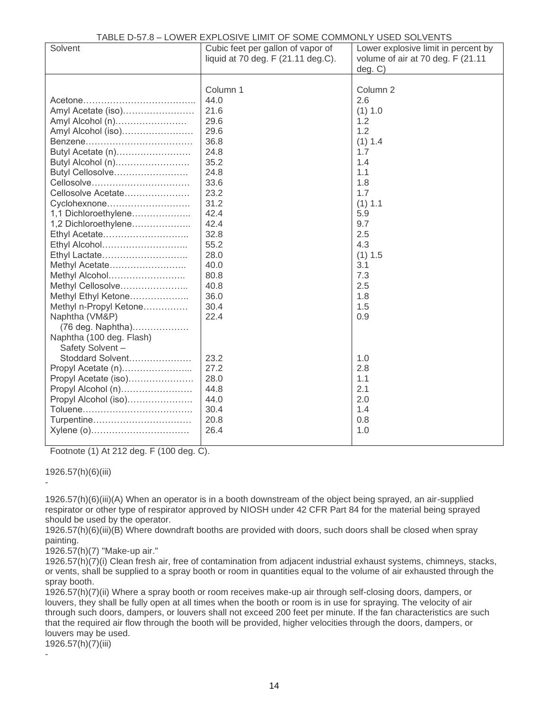|                          | TABLE D-37.8 - LOWER EXPLOSIVE LIMIT OF SOME COMMONLY USED SOLVENTS |                                     |
|--------------------------|---------------------------------------------------------------------|-------------------------------------|
| Solvent                  | Cubic feet per gallon of vapor of                                   | Lower explosive limit in percent by |
|                          | liquid at 70 deg. F (21.11 deg.C).                                  | volume of air at 70 deg. F (21.11   |
|                          |                                                                     | deg. C)                             |
|                          |                                                                     |                                     |
|                          | Column 1                                                            | Column <sub>2</sub>                 |
|                          | 44.0                                                                | 2.6                                 |
| Amyl Acetate (iso)       | 21.6                                                                | (1) 1.0                             |
| Amyl Alcohol (n)         | 29.6                                                                | 1.2                                 |
| Amyl Alcohol (iso)       | 29.6                                                                | 1.2                                 |
|                          | 36.8                                                                | (1) 1.4                             |
| Butyl Acetate (n)        | 24.8                                                                | 1.7                                 |
| Butyl Alcohol (n)        | 35.2                                                                | 1.4                                 |
| Butyl Cellosolve         | 24.8                                                                | 1.1                                 |
| Cellosolve               | 33.6                                                                | 1.8                                 |
| Cellosolve Acetate       | 23.2                                                                | 1.7                                 |
| Cyclohexnone             | 31.2                                                                | $(1)$ 1.1                           |
| 1,1 Dichloroethylene     | 42.4                                                                | 5.9                                 |
| 1,2 Dichloroethylene     | 42.4                                                                | 9.7                                 |
| Ethyl Acetate            | 32.8                                                                | 2.5                                 |
| Ethyl Alcohol            | 55.2                                                                | 4.3                                 |
| Ethyl Lactate            | 28.0                                                                | (1) 1.5                             |
| Methyl Acetate           | 40.0                                                                | 3.1                                 |
| Methyl Alcohol           | 80.8                                                                | 7.3                                 |
| Methyl Cellosolve        | 40.8                                                                | 2.5                                 |
| Methyl Ethyl Ketone      | 36.0                                                                | 1.8                                 |
| Methyl n-Propyl Ketone   | 30.4                                                                | 1.5                                 |
| Naphtha (VM&P)           | 22.4                                                                | 0.9                                 |
| (76 deg. Naphtha)        |                                                                     |                                     |
| Naphtha (100 deg. Flash) |                                                                     |                                     |
| Safety Solvent-          |                                                                     |                                     |
| Stoddard Solvent         | 23.2                                                                | 1.0                                 |
| Propyl Acetate (n)       | 27.2                                                                | 2.8                                 |
| Propyl Acetate (iso)     | 28.0                                                                | 1.1                                 |
| Propyl Alcohol (n)       | 44.8                                                                | 2.1                                 |
| Propyl Alcohol (iso)     | 44.0                                                                | 2.0                                 |
|                          | 30.4                                                                | 1.4                                 |
|                          | 20.8                                                                | 0.8                                 |
|                          | 26.4                                                                | 1.0                                 |
|                          |                                                                     |                                     |

### TABLE D-57.8 – LOWER EXPLOSIVE LIMIT OF SOME COMMONLY USED SOLVENTS

Footnote (1) At 212 deg. F (100 deg. C).

### 1926.57(h)(6)(iii)

-

1926.57(h)(6)(iii)(A) When an operator is in a booth downstream of the object being sprayed, an air-supplied respirator or other type of respirator approved by NIOSH under 42 CFR Part 84 for the material being sprayed should be used by the operator.

1926.57(h)(6)(iii)(B) Where downdraft booths are provided with doors, such doors shall be closed when spray painting.

1926.57(h)(7) "Make-up air."

1926.57(h)(7)(i) Clean fresh air, free of contamination from adjacent industrial exhaust systems, chimneys, stacks, or vents, shall be supplied to a spray booth or room in quantities equal to the volume of air exhausted through the spray booth.

1926.57(h)(7)(ii) Where a spray booth or room receives make-up air through self-closing doors, dampers, or louvers, they shall be fully open at all times when the booth or room is in use for spraying. The velocity of air through such doors, dampers, or louvers shall not exceed 200 feet per minute. If the fan characteristics are such that the required air flow through the booth will be provided, higher velocities through the doors, dampers, or louvers may be used.

1926.57(h)(7)(iii)

-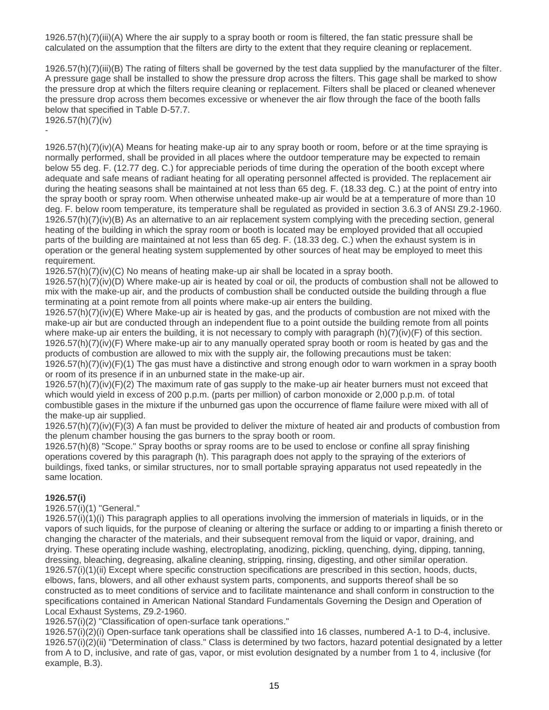1926.57(h)(7)(iii)(A) Where the air supply to a spray booth or room is filtered, the fan static pressure shall be calculated on the assumption that the filters are dirty to the extent that they require cleaning or replacement.

1926.57(h)(7)(iii)(B) The rating of filters shall be governed by the test data supplied by the manufacturer of the filter. A pressure gage shall be installed to show the pressure drop across the filters. This gage shall be marked to show the pressure drop at which the filters require cleaning or replacement. Filters shall be placed or cleaned whenever the pressure drop across them becomes excessive or whenever the air flow through the face of the booth falls below that specified in Table D-57.7.

1926.57(h)(7)(iv) -

1926.57(h)(7)(iv)(A) Means for heating make-up air to any spray booth or room, before or at the time spraying is normally performed, shall be provided in all places where the outdoor temperature may be expected to remain below 55 deg. F. (12.77 deg. C.) for appreciable periods of time during the operation of the booth except where adequate and safe means of radiant heating for all operating personnel affected is provided. The replacement air during the heating seasons shall be maintained at not less than 65 deg. F. (18.33 deg. C.) at the point of entry into the spray booth or spray room. When otherwise unheated make-up air would be at a temperature of more than 10 deg. F. below room temperature, its temperature shall be regulated as provided in section 3.6.3 of ANSI Z9.2-1960. 1926.57(h)(7)(iv)(B) As an alternative to an air replacement system complying with the preceding section, general heating of the building in which the spray room or booth is located may be employed provided that all occupied parts of the building are maintained at not less than 65 deg. F. (18.33 deg. C.) when the exhaust system is in operation or the general heating system supplemented by other sources of heat may be employed to meet this requirement.

1926.57(h)(7)(iv)(C) No means of heating make-up air shall be located in a spray booth.

1926.57(h)(7)(iv)(D) Where make-up air is heated by coal or oil, the products of combustion shall not be allowed to mix with the make-up air, and the products of combustion shall be conducted outside the building through a flue terminating at a point remote from all points where make-up air enters the building.

1926.57(h)(7)(iv)(E) Where Make-up air is heated by gas, and the products of combustion are not mixed with the make-up air but are conducted through an independent flue to a point outside the building remote from all points where make-up air enters the building, it is not necessary to comply with paragraph  $(h)(7)(iv)(F)$  of this section. 1926.57(h)(7)(iv)(F) Where make-up air to any manually operated spray booth or room is heated by gas and the products of combustion are allowed to mix with the supply air, the following precautions must be taken:

1926.57(h)(7)(iv)(F)(1) The gas must have a distinctive and strong enough odor to warn workmen in a spray booth or room of its presence if in an unburned state in the make-up air.

1926.57(h)(7)(iv)(F)(2) The maximum rate of gas supply to the make-up air heater burners must not exceed that which would yield in excess of 200 p.p.m. (parts per million) of carbon monoxide or 2,000 p.p.m. of total combustible gases in the mixture if the unburned gas upon the occurrence of flame failure were mixed with all of the make-up air supplied.

1926.57(h)(7)(iv)(F)(3) A fan must be provided to deliver the mixture of heated air and products of combustion from the plenum chamber housing the gas burners to the spray booth or room.

1926.57(h)(8) "Scope." Spray booths or spray rooms are to be used to enclose or confine all spray finishing operations covered by this paragraph (h). This paragraph does not apply to the spraying of the exteriors of buildings, fixed tanks, or similar structures, nor to small portable spraying apparatus not used repeatedly in the same location.

### <span id="page-14-0"></span>**1926.57(i)**

1926.57(i)(1) "General."

1926.57(i)(1)(i) This paragraph applies to all operations involving the immersion of materials in liquids, or in the vapors of such liquids, for the purpose of cleaning or altering the surface or adding to or imparting a finish thereto or changing the character of the materials, and their subsequent removal from the liquid or vapor, draining, and drying. These operating include washing, electroplating, anodizing, pickling, quenching, dying, dipping, tanning, dressing, bleaching, degreasing, alkaline cleaning, stripping, rinsing, digesting, and other similar operation. 1926.57(i)(1)(ii) Except where specific construction specifications are prescribed in this section, hoods, ducts, elbows, fans, blowers, and all other exhaust system parts, components, and supports thereof shall be so constructed as to meet conditions of service and to facilitate maintenance and shall conform in construction to the specifications contained in American National Standard Fundamentals Governing the Design and Operation of Local Exhaust Systems, Z9.2-1960.

1926.57(i)(2) "Classification of open-surface tank operations."

1926.57(i)(2)(i) Open-surface tank operations shall be classified into 16 classes, numbered A-1 to D-4, inclusive. 1926.57(i)(2)(ii) "Determination of class." Class is determined by two factors, hazard potential designated by a letter from A to D, inclusive, and rate of gas, vapor, or mist evolution designated by a number from 1 to 4, inclusive (for example, B.3).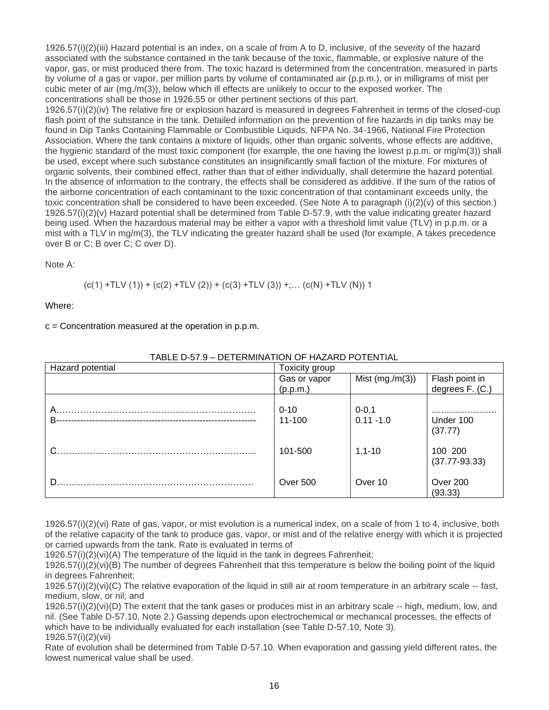1926.57(i)(2)(iii) Hazard potential is an index, on a scale of from A to D, inclusive, of the severity of the hazard associated with the substance contained in the tank because of the toxic, flammable, or explosive nature of the vapor, gas, or mist produced there from. The toxic hazard is determined from the concentration, measured in parts by volume of a gas or vapor, per million parts by volume of contaminated air (p.p.m.), or in milligrams of mist per cubic meter of air (mg./m(3)), below which ill effects are unlikely to occur to the exposed worker. The concentrations shall be those in 1926.55 or other pertinent sections of this part.

1926.57(i)(2)(iv) The relative fire or explosion hazard is measured in degrees Fahrenheit in terms of the closed-cup flash point of the substance in the tank. Detailed information on the prevention of fire hazards in dip tanks may be found in Dip Tanks Containing Flammable or Combustible Liquids, NFPA No. 34-1966, National Fire Protection Association. Where the tank contains a mixture of liquids, other than organic solvents, whose effects are additive, the hygienic standard of the most toxic component (for example, the one having the lowest p.p.m. or mg/m(3)) shall be used, except where such substance constitutes an insignificantly small faction of the mixture. For mixtures of organic solvents, their combined effect, rather than that of either individually, shall determine the hazard potential. In the absence of information to the contrary, the effects shall be considered as additive. If the sum of the ratios of the airborne concentration of each contaminant to the toxic concentration of that contaminant exceeds unity, the toxic concentration shall be considered to have been exceeded. (See Note A to paragraph (i)(2)(v) of this section.) 1926.57(i)(2)(v) Hazard potential shall be determined from Table D-57.9, with the value indicating greater hazard being used. When the hazardous material may be either a vapor with a threshold limit value (TLV) in p.p.m. or a mist with a TLV in mg/m(3), the TLV indicating the greater hazard shall be used (for example, A takes precedence over B or C; B over C; C over D).

Note A:

 $(c(1) + TLV (1)) + (c(2) + TLV (2)) + (c(3) + TLV (3)) +; ... (c(N) + TLV (N))$  1

Where:

c = Concentration measured at the operation in p.p.m.

| TABLE D-37.3 - DETENNINATION OF HAZAND FOTENTIAL |                    |                           |                            |  |
|--------------------------------------------------|--------------------|---------------------------|----------------------------|--|
| Hazard potential                                 | Toxicity group     |                           |                            |  |
|                                                  | Gas or vapor       | Mist $(mg./m(3))$         | Flash point in             |  |
|                                                  | (p.p.m.)           |                           | degrees F. (C.)            |  |
| B--                                              | $0 - 10$<br>11-100 | $0 - 0.1$<br>$0.11 - 1.0$ | Under 100<br>(37.77)       |  |
|                                                  | 101-500            | $1.1 - 10$                | 100 200<br>$(37.77-93.33)$ |  |
|                                                  | <b>Over 500</b>    | Over 10                   | <b>Over 200</b><br>(93.33) |  |

# TABLE D-57.9 – DETERMINATION OF HAZARD POTENTIAL

1926.57(i)(2)(vi) Rate of gas, vapor, or mist evolution is a numerical index, on a scale of from 1 to 4, inclusive, both of the relative capacity of the tank to produce gas, vapor, or mist and of the relative energy with which it is projected or carried upwards from the tank. Rate is evaluated in terms of

1926.57(i)(2)(vi)(A) The temperature of the liquid in the tank in degrees Fahrenheit;

1926.57(i)(2)(vi)(B) The number of degrees Fahrenheit that this temperature is below the boiling point of the liquid in degrees Fahrenheit;

1926.57(i)(2)(vi)(C) The relative evaporation of the liquid in still air at room temperature in an arbitrary scale -- fast, medium, slow, or nil; and

1926.57(i)(2)(vi)(D) The extent that the tank gases or produces mist in an arbitrary scale -- high, medium, low, and nil. (See Table D-57.10, Note 2.) Gassing depends upon electrochemical or mechanical processes, the effects of which have to be individually evaluated for each installation (see Table D-57.10, Note 3). 1926.57(i)(2)(vii)

Rate of evolution shall be determined from Table D-57.10. When evaporation and gassing yield different rates, the lowest numerical value shall be used.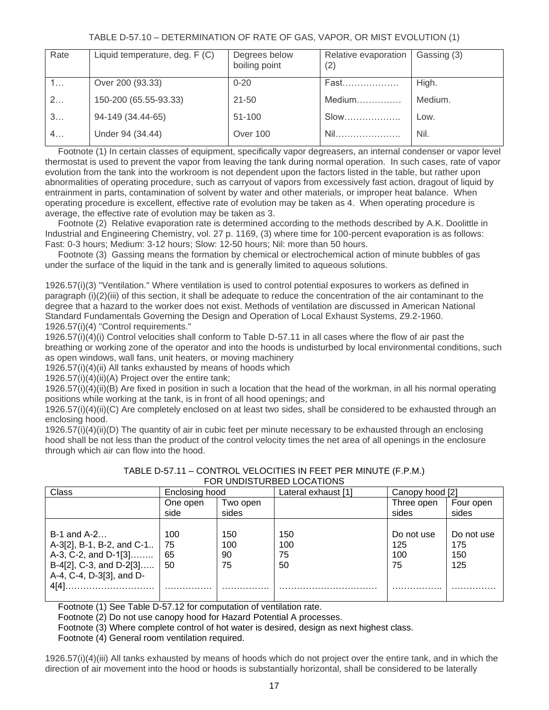### TABLE D-57.10 – DETERMINATION OF RATE OF GAS, VAPOR, OR MIST EVOLUTION (1)

| Rate | Liquid temperature, deg. F (C) | Degrees below<br>boiling point | Relative evaporation<br>(2) | Gassing (3) |
|------|--------------------------------|--------------------------------|-----------------------------|-------------|
| 1.   | Over 200 (93.33)               | $0 - 20$                       | Fast                        | High.       |
| 2    | 150-200 (65.55-93.33)          | $21 - 50$                      | Medium                      | Medium.     |
| 3    | 94-149 (34.44-65)              | 51-100                         | $Slow$                      | Low.        |
| 4    | Under 94 (34.44)               | Over 100                       | Nil                         | Nil.        |

Footnote (1) In certain classes of equipment, specifically vapor degreasers, an internal condenser or vapor level thermostat is used to prevent the vapor from leaving the tank during normal operation. In such cases, rate of vapor evolution from the tank into the workroom is not dependent upon the factors listed in the table, but rather upon abnormalities of operating procedure, such as carryout of vapors from excessively fast action, dragout of liquid by entrainment in parts, contamination of solvent by water and other materials, or improper heat balance. When operating procedure is excellent, effective rate of evolution may be taken as 4. When operating procedure is average, the effective rate of evolution may be taken as 3.

Footnote (2) Relative evaporation rate is determined according to the methods described by A.K. Doolittle in Industrial and Engineering Chemistry, vol. 27 p. 1169, (3) where time for 100-percent evaporation is as follows: Fast: 0-3 hours; Medium: 3-12 hours; Slow: 12-50 hours; Nil: more than 50 hours.

Footnote (3) Gassing means the formation by chemical or electrochemical action of minute bubbles of gas under the surface of the liquid in the tank and is generally limited to aqueous solutions.

1926.57(i)(3) "Ventilation." Where ventilation is used to control potential exposures to workers as defined in paragraph (i)(2)(iii) of this section, it shall be adequate to reduce the concentration of the air contaminant to the degree that a hazard to the worker does not exist. Methods of ventilation are discussed in American National Standard Fundamentals Governing the Design and Operation of Local Exhaust Systems, Z9.2-1960. 1926.57(i)(4) "Control requirements."

1926.57(i)(4)(i) Control velocities shall conform to Table D-57.11 in all cases where the flow of air past the breathing or working zone of the operator and into the hoods is undisturbed by local environmental conditions, such as open windows, wall fans, unit heaters, or moving machinery

1926.57(i)(4)(ii) All tanks exhausted by means of hoods which

1926.57(i)(4)(ii)(A) Project over the entire tank;

1926.57(i)(4)(ii)(B) Are fixed in position in such a location that the head of the workman, in all his normal operating positions while working at the tank, is in front of all hood openings; and

1926.57(i)(4)(ii)(C) Are completely enclosed on at least two sides, shall be considered to be exhausted through an enclosing hood.

1926.57(i)(4)(ii)(D) The quantity of air in cubic feet per minute necessary to be exhausted through an enclosing hood shall be not less than the product of the control velocity times the net area of all openings in the enclosure through which air can flow into the hood.

| TABLE D-57.11 - CONTROL VELOCITIES IN FEET PER MINUTE (F.P.M.) |
|----------------------------------------------------------------|
| FOR UNDISTURBED LOCATIONS                                      |
|                                                                |

| Class                     | Enclosing hood |          | Lateral exhaust [1] | Canopy hood [2] |            |
|---------------------------|----------------|----------|---------------------|-----------------|------------|
|                           | One open       | Two open |                     | Three open      | Four open  |
|                           | side           | sides    |                     | sides           | sides      |
|                           |                |          |                     |                 |            |
| $B-1$ and $A-2$           | 100            | 150      | 150                 | Do not use      | Do not use |
| A-3[2], B-1, B-2, and C-1 | -75            | 100      | 100                 | 125             | 175        |
| A-3, C-2, and D-1[3]      | 65             | 90       | 75                  | 100             | 150        |
| B-4[2], C-3, and D-2[3]   | 50             | 75       | 50                  | 75              | 125        |
| A-4, C-4, D-3[3], and D-  |                |          |                     |                 |            |
| $4[4]$ .                  |                |          |                     |                 |            |
|                           |                |          |                     |                 |            |

Footnote (1) See Table D-57.12 for computation of ventilation rate.

Footnote (2) Do not use canopy hood for Hazard Potential A processes.

Footnote (3) Where complete control of hot water is desired, design as next highest class.

Footnote (4) General room ventilation required.

1926.57(i)(4)(iii) All tanks exhausted by means of hoods which do not project over the entire tank, and in which the direction of air movement into the hood or hoods is substantially horizontal, shall be considered to be laterally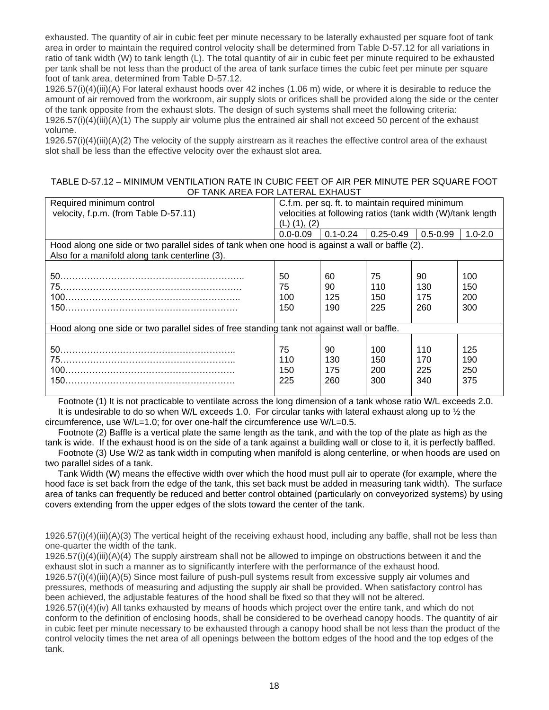exhausted. The quantity of air in cubic feet per minute necessary to be laterally exhausted per square foot of tank area in order to maintain the required control velocity shall be determined from Table D-57.12 for all variations in ratio of tank width (W) to tank length (L). The total quantity of air in cubic feet per minute required to be exhausted per tank shall be not less than the product of the area of tank surface times the cubic feet per minute per square foot of tank area, determined from Table D-57.12.

1926.57(i)(4)(iii)(A) For lateral exhaust hoods over 42 inches (1.06 m) wide, or where it is desirable to reduce the amount of air removed from the workroom, air supply slots or orifices shall be provided along the side or the center of the tank opposite from the exhaust slots. The design of such systems shall meet the following criteria: 1926.57(i)(4)(iii)(A)(1) The supply air volume plus the entrained air shall not exceed 50 percent of the exhaust volume.

1926.57(i)(4)(iii)(A)(2) The velocity of the supply airstream as it reaches the effective control area of the exhaust slot shall be less than the effective velocity over the exhaust slot area.

#### TABLE D-57.12 – MINIMUM VENTILATION RATE IN CUBIC FEET OF AIR PER MINUTE PER SQUARE FOOT OF TANK AREA FOR LATERAL EXHAUST

| Required minimum control<br>C.f.m. per sq. ft. to maintain required minimum                      |                                                            |              |               |              |             |  |  |  |
|--------------------------------------------------------------------------------------------------|------------------------------------------------------------|--------------|---------------|--------------|-------------|--|--|--|
| velocity, f.p.m. (from Table D-57.11)                                                            | velocities at following ratios (tank width (W)/tank length |              |               |              |             |  |  |  |
|                                                                                                  | (L) (1), (2)                                               |              |               |              |             |  |  |  |
|                                                                                                  | $0.0 - 0.09$                                               | $0.1 - 0.24$ | $0.25 - 0.49$ | $0.5 - 0.99$ | $1.0 - 2.0$ |  |  |  |
| Hood along one side or two parallel sides of tank when one hood is against a wall or baffle (2). |                                                            |              |               |              |             |  |  |  |
| Also for a manifold along tank centerline (3).                                                   |                                                            |              |               |              |             |  |  |  |
|                                                                                                  |                                                            |              |               |              |             |  |  |  |
|                                                                                                  | 50                                                         | 60           | 75            | 90           | 100         |  |  |  |
|                                                                                                  | 75                                                         | 90           | 110           | 130          | 150         |  |  |  |
|                                                                                                  | 100                                                        | 125          | 150           | 175          | 200         |  |  |  |
|                                                                                                  | 150                                                        | 190          | 225           | 260          | 300         |  |  |  |
|                                                                                                  |                                                            |              |               |              |             |  |  |  |
| Hood along one side or two parallel sides of free standing tank not against wall or baffle.      |                                                            |              |               |              |             |  |  |  |
|                                                                                                  |                                                            |              |               |              |             |  |  |  |
|                                                                                                  | 75                                                         | 90           | 100           | 110          | 125         |  |  |  |
|                                                                                                  | 110                                                        | 130          | 150           | 170          | 190         |  |  |  |
|                                                                                                  | 150                                                        | 175          | 200           | 225          | 250         |  |  |  |
|                                                                                                  | 225                                                        | 260          | 300           | 340          | 375         |  |  |  |
|                                                                                                  |                                                            |              |               |              |             |  |  |  |

Footnote (1) It is not practicable to ventilate across the long dimension of a tank whose ratio W/L exceeds 2.0. It is undesirable to do so when W/L exceeds 1.0. For circular tanks with lateral exhaust along up to  $\frac{1}{2}$  the circumference, use W/L=1.0; for over one-half the circumference use W/L=0.5.

Footnote (2) Baffle is a vertical plate the same length as the tank, and with the top of the plate as high as the tank is wide. If the exhaust hood is on the side of a tank against a building wall or close to it, it is perfectly baffled. Footnote (3) Use W/2 as tank width in computing when manifold is along centerline, or when hoods are used on

two parallel sides of a tank.

Tank Width (W) means the effective width over which the hood must pull air to operate (for example, where the hood face is set back from the edge of the tank, this set back must be added in measuring tank width). The surface area of tanks can frequently be reduced and better control obtained (particularly on conveyorized systems) by using covers extending from the upper edges of the slots toward the center of the tank.

1926.57(i)(4)(iii)(A)(3) The vertical height of the receiving exhaust hood, including any baffle, shall not be less than one-quarter the width of the tank.

1926.57(i)(4)(iii)(A)(4) The supply airstream shall not be allowed to impinge on obstructions between it and the exhaust slot in such a manner as to significantly interfere with the performance of the exhaust hood.

1926.57(i)(4)(iii)(A)(5) Since most failure of push-pull systems result from excessive supply air volumes and pressures, methods of measuring and adjusting the supply air shall be provided. When satisfactory control has been achieved, the adjustable features of the hood shall be fixed so that they will not be altered.

1926.57(i)(4)(iv) All tanks exhausted by means of hoods which project over the entire tank, and which do not conform to the definition of enclosing hoods, shall be considered to be overhead canopy hoods. The quantity of air in cubic feet per minute necessary to be exhausted through a canopy hood shall be not less than the product of the control velocity times the net area of all openings between the bottom edges of the hood and the top edges of the tank.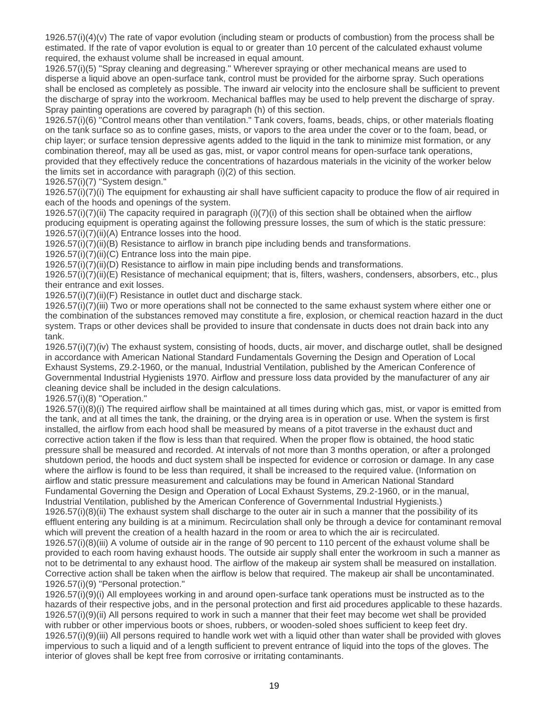1926.57(i)(4)(v) The rate of vapor evolution (including steam or products of combustion) from the process shall be estimated. If the rate of vapor evolution is equal to or greater than 10 percent of the calculated exhaust volume required, the exhaust volume shall be increased in equal amount.

1926.57(i)(5) "Spray cleaning and degreasing." Wherever spraying or other mechanical means are used to disperse a liquid above an open-surface tank, control must be provided for the airborne spray. Such operations shall be enclosed as completely as possible. The inward air velocity into the enclosure shall be sufficient to prevent the discharge of spray into the workroom. Mechanical baffles may be used to help prevent the discharge of spray. Spray painting operations are covered by paragraph (h) of this section.

1926.57(i)(6) "Control means other than ventilation." Tank covers, foams, beads, chips, or other materials floating on the tank surface so as to confine gases, mists, or vapors to the area under the cover or to the foam, bead, or chip layer; or surface tension depressive agents added to the liquid in the tank to minimize mist formation, or any combination thereof, may all be used as gas, mist, or vapor control means for open-surface tank operations, provided that they effectively reduce the concentrations of hazardous materials in the vicinity of the worker below the limits set in accordance with paragraph (i)(2) of this section.

1926.57(i)(7) "System design."

1926.57(i)(7)(i) The equipment for exhausting air shall have sufficient capacity to produce the flow of air required in each of the hoods and openings of the system.

1926.57(i)(7)(ii) The capacity required in paragraph (i)(7)(i) of this section shall be obtained when the airflow producing equipment is operating against the following pressure losses, the sum of which is the static pressure: 1926.57(i)(7)(ii)(A) Entrance losses into the hood.

1926.57(i)(7)(ii)(B) Resistance to airflow in branch pipe including bends and transformations.

1926.57(i)(7)(ii)(C) Entrance loss into the main pipe.

1926.57(i)(7)(ii)(D) Resistance to airflow in main pipe including bends and transformations.

1926.57(i)(7)(ii)(E) Resistance of mechanical equipment; that is, filters, washers, condensers, absorbers, etc., plus their entrance and exit losses.

1926.57(i)(7)(ii)(F) Resistance in outlet duct and discharge stack.

1926.57(i)(7)(iii) Two or more operations shall not be connected to the same exhaust system where either one or the combination of the substances removed may constitute a fire, explosion, or chemical reaction hazard in the duct system. Traps or other devices shall be provided to insure that condensate in ducts does not drain back into any tank.

1926.57(i)(7)(iv) The exhaust system, consisting of hoods, ducts, air mover, and discharge outlet, shall be designed in accordance with American National Standard Fundamentals Governing the Design and Operation of Local Exhaust Systems, Z9.2-1960, or the manual, Industrial Ventilation, published by the American Conference of Governmental Industrial Hygienists 1970. Airflow and pressure loss data provided by the manufacturer of any air cleaning device shall be included in the design calculations.

1926.57(i)(8) "Operation."

1926.57(i)(8)(i) The required airflow shall be maintained at all times during which gas, mist, or vapor is emitted from the tank, and at all times the tank, the draining, or the drying area is in operation or use. When the system is first installed, the airflow from each hood shall be measured by means of a pitot traverse in the exhaust duct and corrective action taken if the flow is less than that required. When the proper flow is obtained, the hood static pressure shall be measured and recorded. At intervals of not more than 3 months operation, or after a prolonged shutdown period, the hoods and duct system shall be inspected for evidence or corrosion or damage. In any case where the airflow is found to be less than required, it shall be increased to the required value. (Information on airflow and static pressure measurement and calculations may be found in American National Standard Fundamental Governing the Design and Operation of Local Exhaust Systems, Z9.2-1960, or in the manual, Industrial Ventilation, published by the American Conference of Governmental Industrial Hygienists.) 1926.57(i)(8)(ii) The exhaust system shall discharge to the outer air in such a manner that the possibility of its effluent entering any building is at a minimum. Recirculation shall only be through a device for contaminant removal which will prevent the creation of a health hazard in the room or area to which the air is recirculated. 1926.57(i)(8)(iii) A volume of outside air in the range of 90 percent to 110 percent of the exhaust volume shall be provided to each room having exhaust hoods. The outside air supply shall enter the workroom in such a manner as not to be detrimental to any exhaust hood. The airflow of the makeup air system shall be measured on installation. Corrective action shall be taken when the airflow is below that required. The makeup air shall be uncontaminated. 1926.57(i)(9) "Personal protection."

1926.57(i)(9)(i) All employees working in and around open-surface tank operations must be instructed as to the hazards of their respective jobs, and in the personal protection and first aid procedures applicable to these hazards. 1926.57(i)(9)(ii) All persons required to work in such a manner that their feet may become wet shall be provided with rubber or other impervious boots or shoes, rubbers, or wooden-soled shoes sufficient to keep feet dry. 1926.57(i)(9)(iii) All persons required to handle work wet with a liquid other than water shall be provided with gloves impervious to such a liquid and of a length sufficient to prevent entrance of liquid into the tops of the gloves. The interior of gloves shall be kept free from corrosive or irritating contaminants.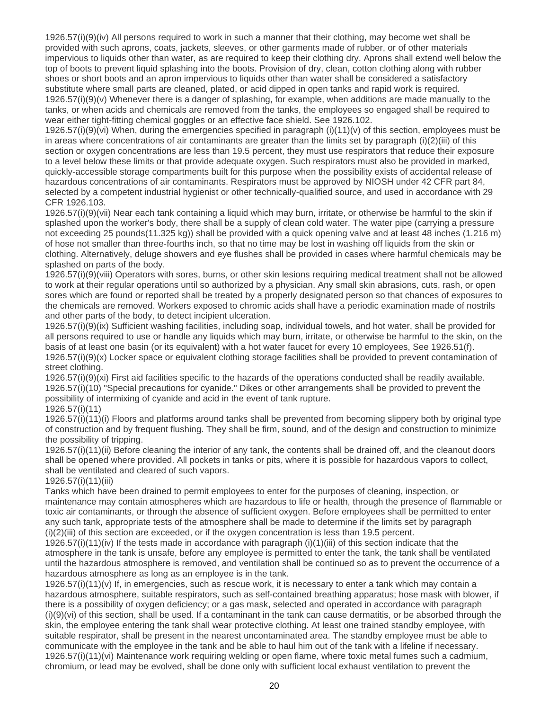1926.57(i)(9)(iv) All persons required to work in such a manner that their clothing, may become wet shall be provided with such aprons, coats, jackets, sleeves, or other garments made of rubber, or of other materials impervious to liquids other than water, as are required to keep their clothing dry. Aprons shall extend well below the top of boots to prevent liquid splashing into the boots. Provision of dry, clean, cotton clothing along with rubber shoes or short boots and an apron impervious to liquids other than water shall be considered a satisfactory substitute where small parts are cleaned, plated, or acid dipped in open tanks and rapid work is required. 1926.57(i)(9)(v) Whenever there is a danger of splashing, for example, when additions are made manually to the tanks, or when acids and chemicals are removed from the tanks, the employees so engaged shall be required to wear either tight-fitting chemical goggles or an effective face shield. See 1926.102.

1926.57(i)(9)(vi) When, during the emergencies specified in paragraph (i)(11)(v) of this section, employees must be in areas where concentrations of air contaminants are greater than the limits set by paragraph (i)(2)(iii) of this section or oxygen concentrations are less than 19.5 percent, they must use respirators that reduce their exposure to a level below these limits or that provide adequate oxygen. Such respirators must also be provided in marked, quickly-accessible storage compartments built for this purpose when the possibility exists of accidental release of hazardous concentrations of air contaminants. Respirators must be approved by NIOSH under 42 CFR part 84, selected by a competent industrial hygienist or other technically-qualified source, and used in accordance with 29 CFR 1926.103.

1926.57(i)(9)(vii) Near each tank containing a liquid which may burn, irritate, or otherwise be harmful to the skin if splashed upon the worker's body, there shall be a supply of clean cold water. The water pipe (carrying a pressure not exceeding 25 pounds(11.325 kg)) shall be provided with a quick opening valve and at least 48 inches (1.216 m) of hose not smaller than three-fourths inch, so that no time may be lost in washing off liquids from the skin or clothing. Alternatively, deluge showers and eye flushes shall be provided in cases where harmful chemicals may be splashed on parts of the body.

1926.57(i)(9)(viii) Operators with sores, burns, or other skin lesions requiring medical treatment shall not be allowed to work at their regular operations until so authorized by a physician. Any small skin abrasions, cuts, rash, or open sores which are found or reported shall be treated by a properly designated person so that chances of exposures to the chemicals are removed. Workers exposed to chromic acids shall have a periodic examination made of nostrils and other parts of the body, to detect incipient ulceration.

1926.57(i)(9)(ix) Sufficient washing facilities, including soap, individual towels, and hot water, shall be provided for all persons required to use or handle any liquids which may burn, irritate, or otherwise be harmful to the skin, on the basis of at least one basin (or its equivalent) with a hot water faucet for every 10 employees, See 1926.51(f). 1926.57(i)(9)(x) Locker space or equivalent clothing storage facilities shall be provided to prevent contamination of street clothing.

1926.57(i)(9)(xi) First aid facilities specific to the hazards of the operations conducted shall be readily available. 1926.57(i)(10) "Special precautions for cyanide." Dikes or other arrangements shall be provided to prevent the possibility of intermixing of cyanide and acid in the event of tank rupture. 1926.57(i)(11)

1926.57(i)(11)(i) Floors and platforms around tanks shall be prevented from becoming slippery both by original type of construction and by frequent flushing. They shall be firm, sound, and of the design and construction to minimize the possibility of tripping.

1926.57(i)(11)(ii) Before cleaning the interior of any tank, the contents shall be drained off, and the cleanout doors shall be opened where provided. All pockets in tanks or pits, where it is possible for hazardous vapors to collect, shall be ventilated and cleared of such vapors.

1926.57(i)(11)(iii)

Tanks which have been drained to permit employees to enter for the purposes of cleaning, inspection, or maintenance may contain atmospheres which are hazardous to life or health, through the presence of flammable or toxic air contaminants, or through the absence of sufficient oxygen. Before employees shall be permitted to enter any such tank, appropriate tests of the atmosphere shall be made to determine if the limits set by paragraph  $(i)(2)(iii)$  of this section are exceeded, or if the oxygen concentration is less than 19.5 percent.

1926.57(i)(11)(iv) If the tests made in accordance with paragraph (i)(1)(iii) of this section indicate that the atmosphere in the tank is unsafe, before any employee is permitted to enter the tank, the tank shall be ventilated until the hazardous atmosphere is removed, and ventilation shall be continued so as to prevent the occurrence of a hazardous atmosphere as long as an employee is in the tank.

1926.57(i)(11)(v) If, in emergencies, such as rescue work, it is necessary to enter a tank which may contain a hazardous atmosphere, suitable respirators, such as self-contained breathing apparatus; hose mask with blower, if there is a possibility of oxygen deficiency; or a gas mask, selected and operated in accordance with paragraph  $(i)(9)(vi)$  of this section, shall be used. If a contaminant in the tank can cause dermatitis, or be absorbed through the skin, the employee entering the tank shall wear protective clothing. At least one trained standby employee, with suitable respirator, shall be present in the nearest uncontaminated area. The standby employee must be able to communicate with the employee in the tank and be able to haul him out of the tank with a lifeline if necessary. 1926.57(i)(11)(vi) Maintenance work requiring welding or open flame, where toxic metal fumes such a cadmium, chromium, or lead may be evolved, shall be done only with sufficient local exhaust ventilation to prevent the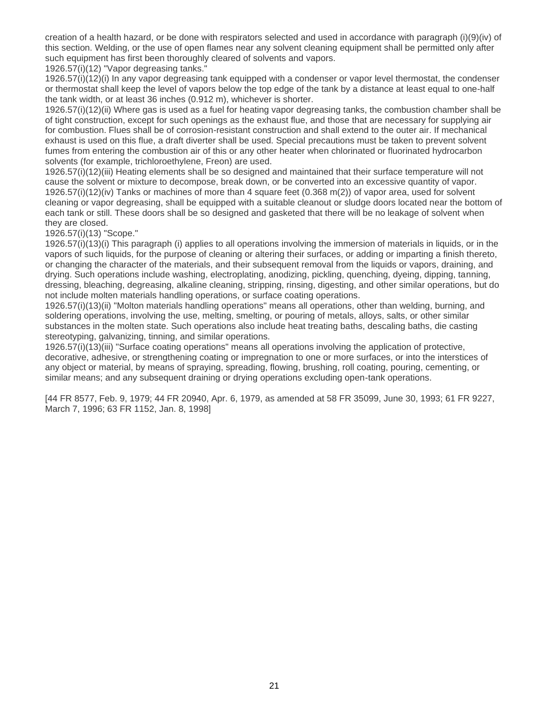creation of a health hazard, or be done with respirators selected and used in accordance with paragraph (i)(9)(iv) of this section. Welding, or the use of open flames near any solvent cleaning equipment shall be permitted only after such equipment has first been thoroughly cleared of solvents and vapors.

1926.57(i)(12) "Vapor degreasing tanks."

1926.57(i)(12)(i) In any vapor degreasing tank equipped with a condenser or vapor level thermostat, the condenser or thermostat shall keep the level of vapors below the top edge of the tank by a distance at least equal to one-half the tank width, or at least 36 inches (0.912 m), whichever is shorter.

1926.57(i)(12)(ii) Where gas is used as a fuel for heating vapor degreasing tanks, the combustion chamber shall be of tight construction, except for such openings as the exhaust flue, and those that are necessary for supplying air for combustion. Flues shall be of corrosion-resistant construction and shall extend to the outer air. If mechanical exhaust is used on this flue, a draft diverter shall be used. Special precautions must be taken to prevent solvent fumes from entering the combustion air of this or any other heater when chlorinated or fluorinated hydrocarbon solvents (for example, trichloroethylene, Freon) are used.

1926.57(i)(12)(iii) Heating elements shall be so designed and maintained that their surface temperature will not cause the solvent or mixture to decompose, break down, or be converted into an excessive quantity of vapor. 1926.57(i)(12)(iv) Tanks or machines of more than 4 square feet (0.368 m(2)) of vapor area, used for solvent cleaning or vapor degreasing, shall be equipped with a suitable cleanout or sludge doors located near the bottom of each tank or still. These doors shall be so designed and gasketed that there will be no leakage of solvent when they are closed.

1926.57(i)(13) "Scope."

1926.57(i)(13)(i) This paragraph (i) applies to all operations involving the immersion of materials in liquids, or in the vapors of such liquids, for the purpose of cleaning or altering their surfaces, or adding or imparting a finish thereto, or changing the character of the materials, and their subsequent removal from the liquids or vapors, draining, and drying. Such operations include washing, electroplating, anodizing, pickling, quenching, dyeing, dipping, tanning, dressing, bleaching, degreasing, alkaline cleaning, stripping, rinsing, digesting, and other similar operations, but do not include molten materials handling operations, or surface coating operations.

1926.57(i)(13)(ii) "Molton materials handling operations" means all operations, other than welding, burning, and soldering operations, involving the use, melting, smelting, or pouring of metals, alloys, salts, or other similar substances in the molten state. Such operations also include heat treating baths, descaling baths, die casting stereotyping, galvanizing, tinning, and similar operations.

1926.57(i)(13)(iii) "Surface coating operations" means all operations involving the application of protective, decorative, adhesive, or strengthening coating or impregnation to one or more surfaces, or into the interstices of any object or material, by means of spraying, spreading, flowing, brushing, roll coating, pouring, cementing, or similar means; and any subsequent draining or drying operations excluding open-tank operations.

[44 FR 8577, Feb. 9, 1979; 44 FR 20940, Apr. 6, 1979, as amended at 58 FR 35099, June 30, 1993; 61 FR 9227, March 7, 1996; 63 FR 1152, Jan. 8, 1998]